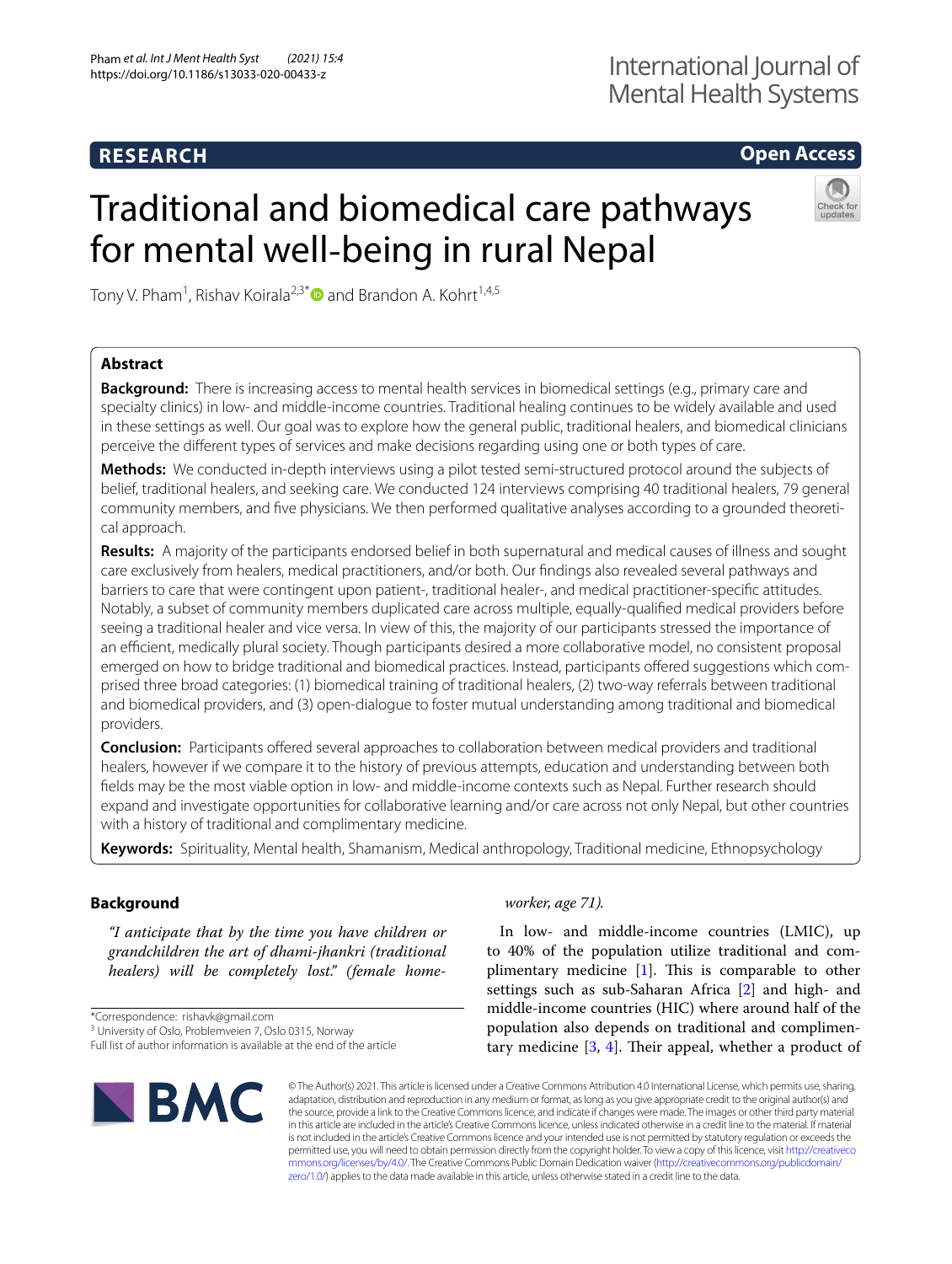# **RESEARCH**

# **Open Access**

# Traditional and biomedical care pathways for mental well‐being in rural Nepal



Tony V. Pham<sup>1</sup>, Rishav Koirala<sup>2,3\*</sup> and Brandon A. Kohrt<sup>1,4,5</sup>

## **Abstract**

**Background:** There is increasing access to mental health services in biomedical settings (e.g., primary care and specialty clinics) in low- and middle-income countries. Traditional healing continues to be widely available and used in these settings as well. Our goal was to explore how the general public, traditional healers, and biomedical clinicians perceive the diferent types of services and make decisions regarding using one or both types of care.

**Methods:** We conducted in-depth interviews using a pilot tested semi-structured protocol around the subjects of belief, traditional healers, and seeking care. We conducted 124 interviews comprising 40 traditional healers, 79 general community members, and fve physicians. We then performed qualitative analyses according to a grounded theoretical approach.

**Results:** A majority of the participants endorsed belief in both supernatural and medical causes of illness and sought care exclusively from healers, medical practitioners, and/or both. Our fndings also revealed several pathways and barriers to care that were contingent upon patient-, traditional healer-, and medical practitioner-specifc attitudes. Notably, a subset of community members duplicated care across multiple, equally-qualifed medical providers before seeing a traditional healer and vice versa. In view of this, the majority of our participants stressed the importance of an efficient, medically plural society. Though participants desired a more collaborative model, no consistent proposal emerged on how to bridge traditional and biomedical practices. Instead, participants ofered suggestions which comprised three broad categories: (1) biomedical training of traditional healers, (2) two-way referrals between traditional and biomedical providers, and (3) open-dialogue to foster mutual understanding among traditional and biomedical providers.

**Conclusion:** Participants ofered several approaches to collaboration between medical providers and traditional healers, however if we compare it to the history of previous attempts, education and understanding between both felds may be the most viable option in low- and middle-income contexts such as Nepal. Further research should expand and investigate opportunities for collaborative learning and/or care across not only Nepal, but other countries with a history of traditional and complimentary medicine.

**Keywords:** Spirituality, Mental health, Shamanism, Medical anthropology, Traditional medicine, Ethnopsychology

## **Background**

*"I anticipate that by the time you have children or grandchildren the art of dhami-jhankri (traditional healers) will be completely lost." (female home-*

\*Correspondence: rishavk@gmail.com

<sup>3</sup> University of Oslo, Problemveien 7, Oslo 0315, Norway

Full list of author information is available at the end of the article



*worker, age 71).*

In low- and middle-income countries (LMIC), up to 40% of the population utilize traditional and complimentary medicine  $[1]$  $[1]$ . This is comparable to other settings such as sub-Saharan Africa [[2\]](#page-13-1) and high- and middle-income countries (HIC) where around half of the population also depends on traditional and complimentary medicine  $[3, 4]$  $[3, 4]$  $[3, 4]$  $[3, 4]$ . Their appeal, whether a product of

© The Author(s) 2021. This article is licensed under a Creative Commons Attribution 4.0 International License, which permits use, sharing, adaptation, distribution and reproduction in any medium or format, as long as you give appropriate credit to the original author(s) and the source, provide a link to the Creative Commons licence, and indicate if changes were made. The images or other third party material in this article are included in the article's Creative Commons licence, unless indicated otherwise in a credit line to the material. If material is not included in the article's Creative Commons licence and your intended use is not permitted by statutory regulation or exceeds the permitted use, you will need to obtain permission directly from the copyright holder. To view a copy of this licence, visit [http://creativeco](http://creativecommons.org/licenses/by/4.0/) [mmons.org/licenses/by/4.0/.](http://creativecommons.org/licenses/by/4.0/) The Creative Commons Public Domain Dedication waiver ([http://creativecommons.org/publicdomain/](http://creativecommons.org/publicdomain/zero/1.0/) [zero/1.0/\)](http://creativecommons.org/publicdomain/zero/1.0/) applies to the data made available in this article, unless otherwise stated in a credit line to the data.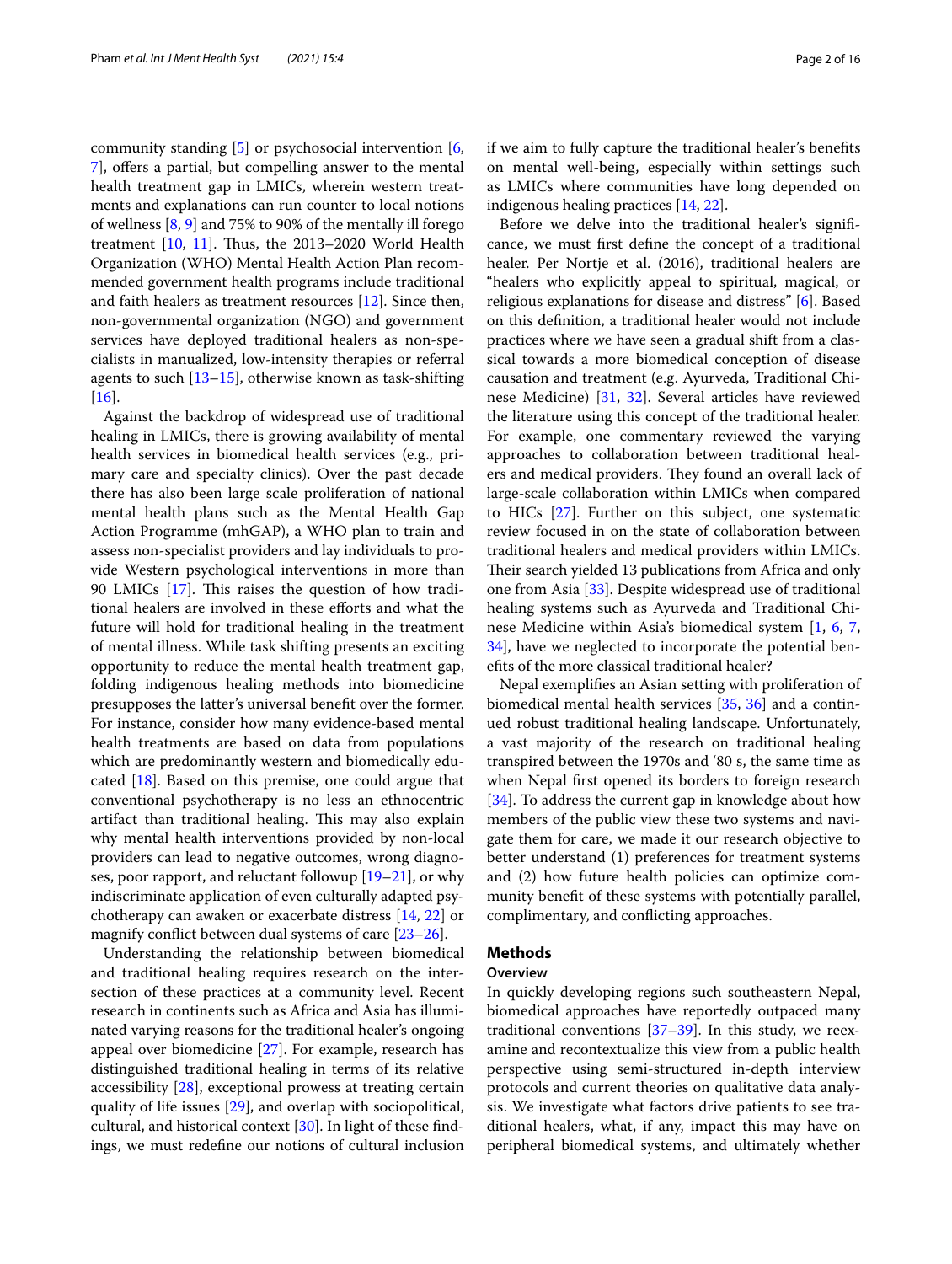community standing [\[5](#page-14-2)] or psychosocial intervention [\[6](#page-14-3), [7\]](#page-14-4), ofers a partial, but compelling answer to the mental health treatment gap in LMICs, wherein western treatments and explanations can run counter to local notions of wellness [\[8](#page-14-5), [9\]](#page-14-6) and 75% to 90% of the mentally ill forego treatment  $[10, 11]$  $[10, 11]$  $[10, 11]$  $[10, 11]$ . Thus, the 2013–2020 World Health Organization (WHO) Mental Health Action Plan recommended government health programs include traditional and faith healers as treatment resources [\[12\]](#page-14-9). Since then, non-governmental organization (NGO) and government services have deployed traditional healers as non-specialists in manualized, low-intensity therapies or referral agents to such [\[13](#page-14-10)[–15\]](#page-14-11), otherwise known as task-shifting [[16\]](#page-14-12).

Against the backdrop of widespread use of traditional healing in LMICs, there is growing availability of mental health services in biomedical health services (e.g., primary care and specialty clinics). Over the past decade there has also been large scale proliferation of national mental health plans such as the Mental Health Gap Action Programme (mhGAP), a WHO plan to train and assess non-specialist providers and lay individuals to provide Western psychological interventions in more than 90 LMICs  $[17]$  $[17]$ . This raises the question of how traditional healers are involved in these efforts and what the future will hold for traditional healing in the treatment of mental illness. While task shifting presents an exciting opportunity to reduce the mental health treatment gap, folding indigenous healing methods into biomedicine presupposes the latter's universal beneft over the former. For instance, consider how many evidence-based mental health treatments are based on data from populations which are predominantly western and biomedically educated [\[18](#page-14-14)]. Based on this premise, one could argue that conventional psychotherapy is no less an ethnocentric artifact than traditional healing. This may also explain why mental health interventions provided by non-local providers can lead to negative outcomes, wrong diagnoses, poor rapport, and reluctant followup [\[19](#page-14-15)[–21\]](#page-14-16), or why indiscriminate application of even culturally adapted psychotherapy can awaken or exacerbate distress [[14,](#page-14-17) [22\]](#page-14-18) or magnify confict between dual systems of care [\[23](#page-14-19)[–26](#page-14-20)].

Understanding the relationship between biomedical and traditional healing requires research on the intersection of these practices at a community level. Recent research in continents such as Africa and Asia has illuminated varying reasons for the traditional healer's ongoing appeal over biomedicine [\[27](#page-14-21)]. For example, research has distinguished traditional healing in terms of its relative accessibility [[28\]](#page-14-22), exceptional prowess at treating certain quality of life issues [[29\]](#page-14-23), and overlap with sociopolitical, cultural, and historical context [\[30\]](#page-14-24). In light of these fndings, we must redefne our notions of cultural inclusion if we aim to fully capture the traditional healer's benefts on mental well-being, especially within settings such as LMICs where communities have long depended on indigenous healing practices [\[14,](#page-14-17) [22](#page-14-18)].

Before we delve into the traditional healer's signifcance, we must frst defne the concept of a traditional healer. Per Nortje et al. (2016), traditional healers are "healers who explicitly appeal to spiritual, magical, or religious explanations for disease and distress" [\[6](#page-14-3)]. Based on this defnition, a traditional healer would not include practices where we have seen a gradual shift from a classical towards a more biomedical conception of disease causation and treatment (e.g. Ayurveda, Traditional Chinese Medicine) [\[31,](#page-14-25) [32](#page-14-26)]. Several articles have reviewed the literature using this concept of the traditional healer. For example, one commentary reviewed the varying approaches to collaboration between traditional healers and medical providers. They found an overall lack of large-scale collaboration within LMICs when compared to HICs [[27](#page-14-21)]. Further on this subject, one systematic review focused in on the state of collaboration between traditional healers and medical providers within LMICs. Their search yielded 13 publications from Africa and only one from Asia [[33](#page-14-27)]. Despite widespread use of traditional healing systems such as Ayurveda and Traditional Chinese Medicine within Asia's biomedical system [[1,](#page-13-0) [6](#page-14-3), [7](#page-14-4), [34\]](#page-14-28), have we neglected to incorporate the potential benefts of the more classical traditional healer?

Nepal exemplifes an Asian setting with proliferation of biomedical mental health services [[35,](#page-14-29) [36\]](#page-14-30) and a continued robust traditional healing landscape. Unfortunately, a vast majority of the research on traditional healing transpired between the 1970s and '80 s, the same time as when Nepal frst opened its borders to foreign research [[34\]](#page-14-28). To address the current gap in knowledge about how members of the public view these two systems and navigate them for care, we made it our research objective to better understand (1) preferences for treatment systems and (2) how future health policies can optimize community beneft of these systems with potentially parallel, complimentary, and conficting approaches.

## **Methods**

## **Overview**

In quickly developing regions such southeastern Nepal, biomedical approaches have reportedly outpaced many traditional conventions  $[37-39]$  $[37-39]$ . In this study, we reexamine and recontextualize this view from a public health perspective using semi-structured in-depth interview protocols and current theories on qualitative data analysis. We investigate what factors drive patients to see traditional healers, what, if any, impact this may have on peripheral biomedical systems, and ultimately whether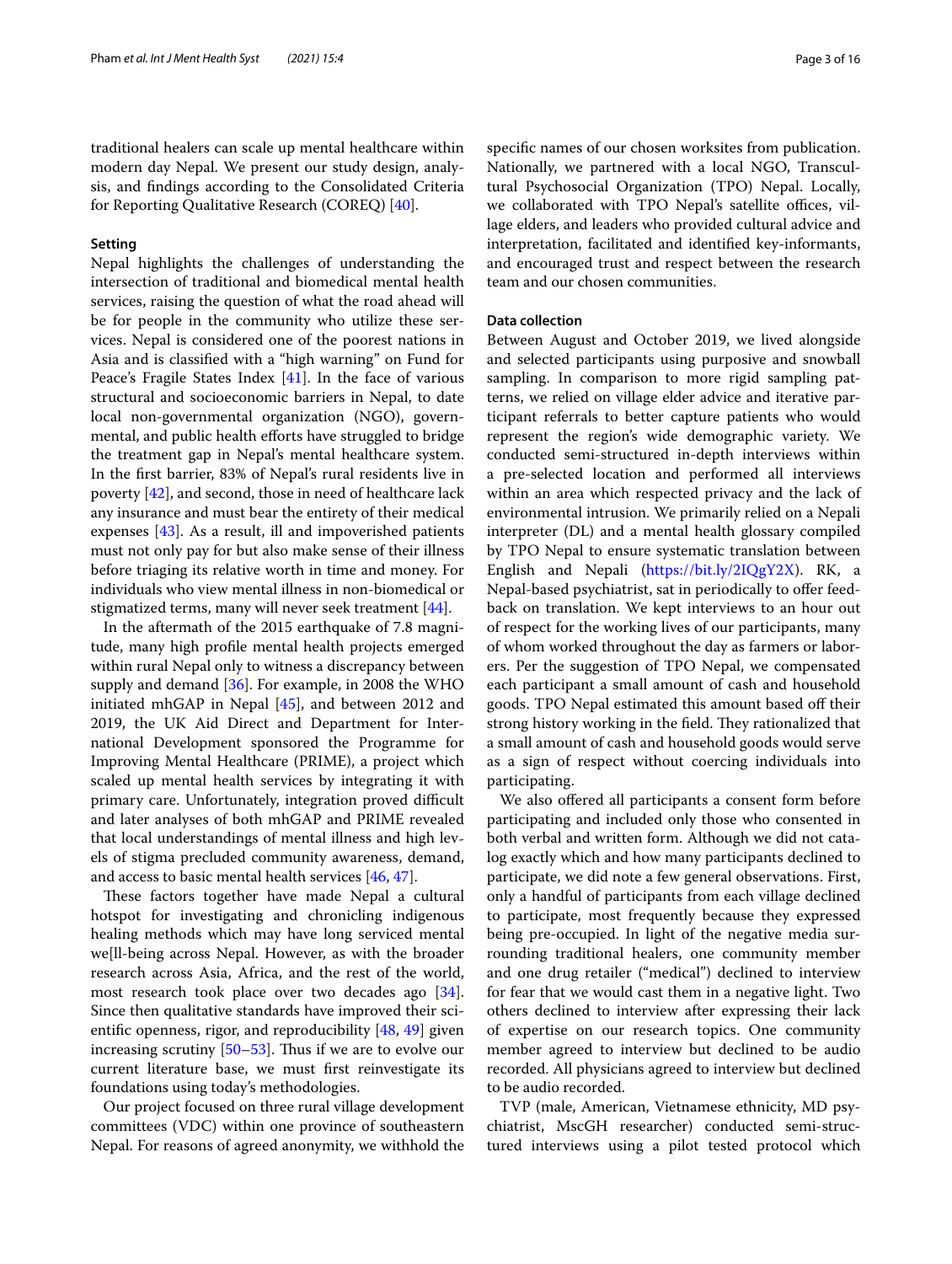traditional healers can scale up mental healthcare within modern day Nepal. We present our study design, analysis, and fndings according to the Consolidated Criteria for Reporting Qualitative Research (COREQ) [[40\]](#page-14-33).

#### **Setting**

Nepal highlights the challenges of understanding the intersection of traditional and biomedical mental health services, raising the question of what the road ahead will be for people in the community who utilize these services. Nepal is considered one of the poorest nations in Asia and is classifed with a "high warning" on Fund for Peace's Fragile States Index [\[41](#page-14-34)]. In the face of various structural and socioeconomic barriers in Nepal, to date local non-governmental organization (NGO), governmental, and public health efforts have struggled to bridge the treatment gap in Nepal's mental healthcare system. In the frst barrier, 83% of Nepal's rural residents live in poverty [\[42](#page-14-35)], and second, those in need of healthcare lack any insurance and must bear the entirety of their medical expenses [[43\]](#page-14-36). As a result, ill and impoverished patients must not only pay for but also make sense of their illness before triaging its relative worth in time and money. For individuals who view mental illness in non-biomedical or stigmatized terms, many will never seek treatment [[44](#page-14-37)].

In the aftermath of the 2015 earthquake of 7.8 magnitude, many high profle mental health projects emerged within rural Nepal only to witness a discrepancy between supply and demand [[36\]](#page-14-30). For example, in 2008 the WHO initiated mhGAP in Nepal [\[45](#page-14-38)], and between 2012 and 2019, the UK Aid Direct and Department for International Development sponsored the Programme for Improving Mental Healthcare (PRIME), a project which scaled up mental health services by integrating it with primary care. Unfortunately, integration proved difficult and later analyses of both mhGAP and PRIME revealed that local understandings of mental illness and high levels of stigma precluded community awareness, demand, and access to basic mental health services [[46,](#page-15-0) [47](#page-15-1)].

These factors together have made Nepal a cultural hotspot for investigating and chronicling indigenous healing methods which may have long serviced mental we[ll-being across Nepal. However, as with the broader research across Asia, Africa, and the rest of the world, most research took place over two decades ago [\[34](#page-14-28)]. Since then qualitative standards have improved their scientifc openness, rigor, and reproducibility [[48,](#page-15-2) [49\]](#page-15-3) given increasing scrutiny  $[50-53]$  $[50-53]$ . Thus if we are to evolve our current literature base, we must frst reinvestigate its foundations using today's methodologies.

Our project focused on three rural village development committees (VDC) within one province of southeastern Nepal. For reasons of agreed anonymity, we withhold the

specifc names of our chosen worksites from publication. Nationally, we partnered with a local NGO, Transcultural Psychosocial Organization (TPO) Nepal. Locally, we collaborated with TPO Nepal's satellite offices, village elders, and leaders who provided cultural advice and interpretation, facilitated and identifed key-informants, and encouraged trust and respect between the research team and our chosen communities.

## **Data collection**

Between August and October 2019, we lived alongside and selected participants using purposive and snowball sampling. In comparison to more rigid sampling patterns, we relied on village elder advice and iterative participant referrals to better capture patients who would represent the region's wide demographic variety. We conducted semi-structured in-depth interviews within a pre-selected location and performed all interviews within an area which respected privacy and the lack of environmental intrusion. We primarily relied on a Nepali interpreter (DL) and a mental health glossary compiled by TPO Nepal to ensure systematic translation between English and Nepali [\(https://bit.ly/2IQgY2X](https://bit.ly/2IQgY2X)). RK, a Nepal-based psychiatrist, sat in periodically to offer feedback on translation. We kept interviews to an hour out of respect for the working lives of our participants, many of whom worked throughout the day as farmers or laborers. Per the suggestion of TPO Nepal, we compensated each participant a small amount of cash and household goods. TPO Nepal estimated this amount based off their strong history working in the field. They rationalized that a small amount of cash and household goods would serve as a sign of respect without coercing individuals into participating.

We also offered all participants a consent form before participating and included only those who consented in both verbal and written form. Although we did not catalog exactly which and how many participants declined to participate, we did note a few general observations. First, only a handful of participants from each village declined to participate, most frequently because they expressed being pre-occupied. In light of the negative media surrounding traditional healers, one community member and one drug retailer ("medical") declined to interview for fear that we would cast them in a negative light. Two others declined to interview after expressing their lack of expertise on our research topics. One community member agreed to interview but declined to be audio recorded. All physicians agreed to interview but declined to be audio recorded.

TVP (male, American, Vietnamese ethnicity, MD psychiatrist, MscGH researcher) conducted semi-structured interviews using a pilot tested protocol which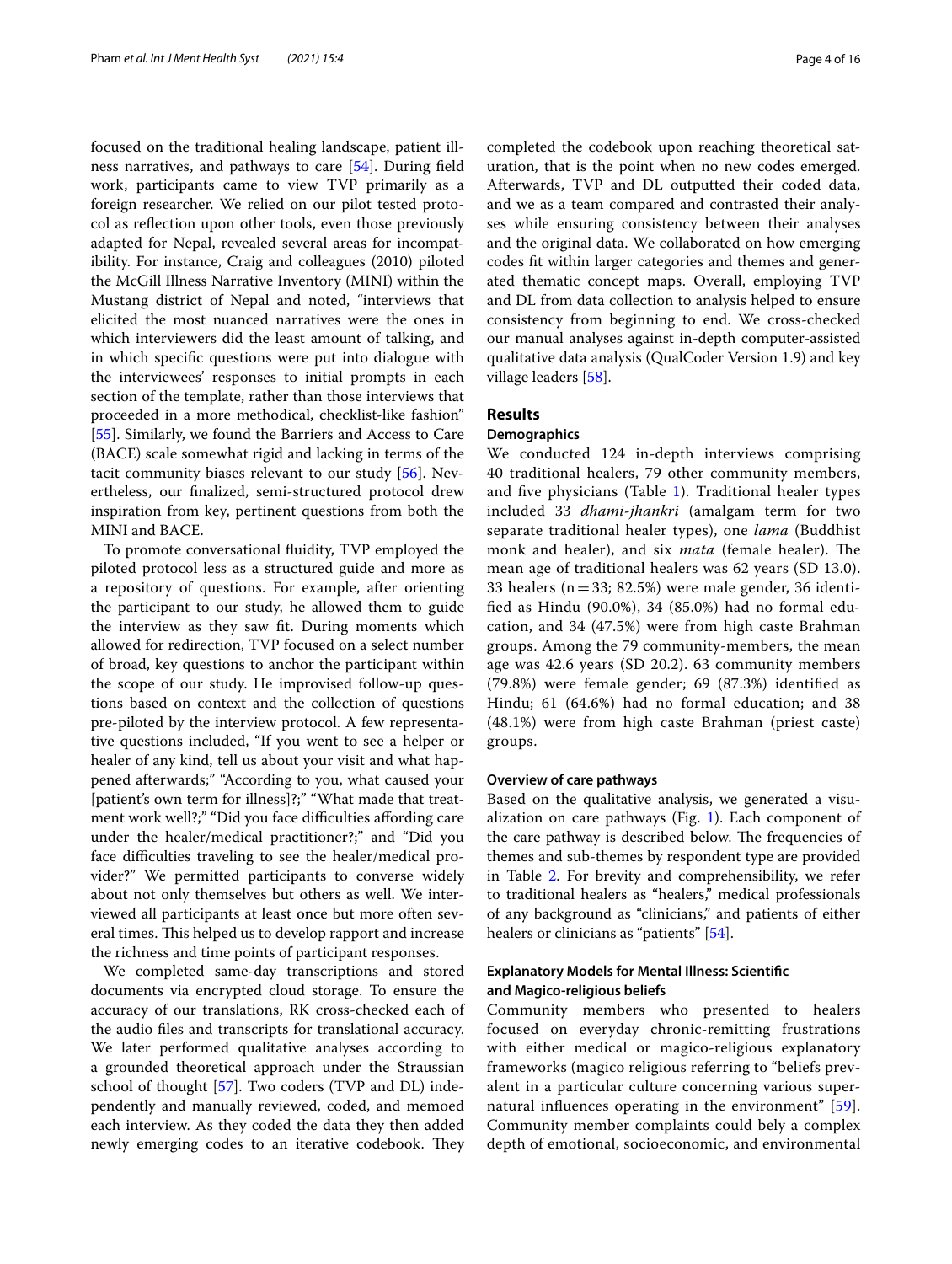focused on the traditional healing landscape, patient illness narratives, and pathways to care [\[54\]](#page-15-6). During feld work, participants came to view TVP primarily as a foreign researcher. We relied on our pilot tested protocol as refection upon other tools, even those previously adapted for Nepal, revealed several areas for incompatibility. For instance, Craig and colleagues (2010) piloted the McGill Illness Narrative Inventory (MINI) within the Mustang district of Nepal and noted, "interviews that elicited the most nuanced narratives were the ones in which interviewers did the least amount of talking, and in which specifc questions were put into dialogue with the interviewees' responses to initial prompts in each section of the template, rather than those interviews that proceeded in a more methodical, checklist-like fashion" [[55\]](#page-15-7). Similarly, we found the Barriers and Access to Care (BACE) scale somewhat rigid and lacking in terms of the tacit community biases relevant to our study [\[56](#page-15-8)]. Nevertheless, our fnalized, semi-structured protocol drew inspiration from key, pertinent questions from both the MINI and BACE.

To promote conversational fuidity, TVP employed the piloted protocol less as a structured guide and more as a repository of questions. For example, after orienting the participant to our study, he allowed them to guide the interview as they saw ft. During moments which allowed for redirection, TVP focused on a select number of broad, key questions to anchor the participant within the scope of our study. He improvised follow-up questions based on context and the collection of questions pre-piloted by the interview protocol. A few representative questions included, "If you went to see a helper or healer of any kind, tell us about your visit and what happened afterwards;" "According to you, what caused your [patient's own term for illness]?;" "What made that treatment work well?;" "Did you face difficulties affording care under the healer/medical practitioner?;" and "Did you face difficulties traveling to see the healer/medical provider?" We permitted participants to converse widely about not only themselves but others as well. We interviewed all participants at least once but more often several times. This helped us to develop rapport and increase the richness and time points of participant responses.

We completed same-day transcriptions and stored documents via encrypted cloud storage. To ensure the accuracy of our translations, RK cross-checked each of the audio fles and transcripts for translational accuracy. We later performed qualitative analyses according to a grounded theoretical approach under the Straussian school of thought [\[57](#page-15-9)]. Two coders (TVP and DL) independently and manually reviewed, coded, and memoed each interview. As they coded the data they then added newly emerging codes to an iterative codebook. They completed the codebook upon reaching theoretical saturation, that is the point when no new codes emerged. Afterwards, TVP and DL outputted their coded data, and we as a team compared and contrasted their analyses while ensuring consistency between their analyses and the original data. We collaborated on how emerging codes ft within larger categories and themes and generated thematic concept maps. Overall, employing TVP and DL from data collection to analysis helped to ensure consistency from beginning to end. We cross-checked our manual analyses against in-depth computer-assisted qualitative data analysis (QualCoder Version 1.9) and key village leaders [\[58](#page-15-10)].

## **Results**

## **Demographics**

We conducted 124 in-depth interviews comprising 40 traditional healers, 79 other community members, and fve physicians (Table [1\)](#page-4-0). Traditional healer types included 33 *dhami*-*jhankri* (amalgam term for two separate traditional healer types), one *lama* (Buddhist monk and healer), and six *mata* (female healer). The mean age of traditional healers was 62 years (SD 13.0). 33 healers ( $n = 33$ ; 82.5%) were male gender, 36 identifed as Hindu (90.0%), 34 (85.0%) had no formal education, and 34 (47.5%) were from high caste Brahman groups. Among the 79 community-members, the mean age was 42.6 years (SD 20.2). 63 community members (79.8%) were female gender; 69 (87.3%) identifed as Hindu; 61 (64.6%) had no formal education; and 38 (48.1%) were from high caste Brahman (priest caste) groups.

## **Overview of care pathways**

Based on the qualitative analysis, we generated a visualization on care pathways (Fig. [1](#page-5-0)). Each component of the care pathway is described below. The frequencies of themes and sub-themes by respondent type are provided in Table [2](#page-6-0). For brevity and comprehensibility, we refer to traditional healers as "healers," medical professionals of any background as "clinicians," and patients of either healers or clinicians as "patients" [[54\]](#page-15-6).

## **Explanatory Models for Mental Illness: Scientifc and Magico‑religious beliefs**

Community members who presented to healers focused on everyday chronic-remitting frustrations with either medical or magico-religious explanatory frameworks (magico religious referring to "beliefs prevalent in a particular culture concerning various supernatural infuences operating in the environment" [[59](#page-15-11)]. Community member complaints could bely a complex depth of emotional, socioeconomic, and environmental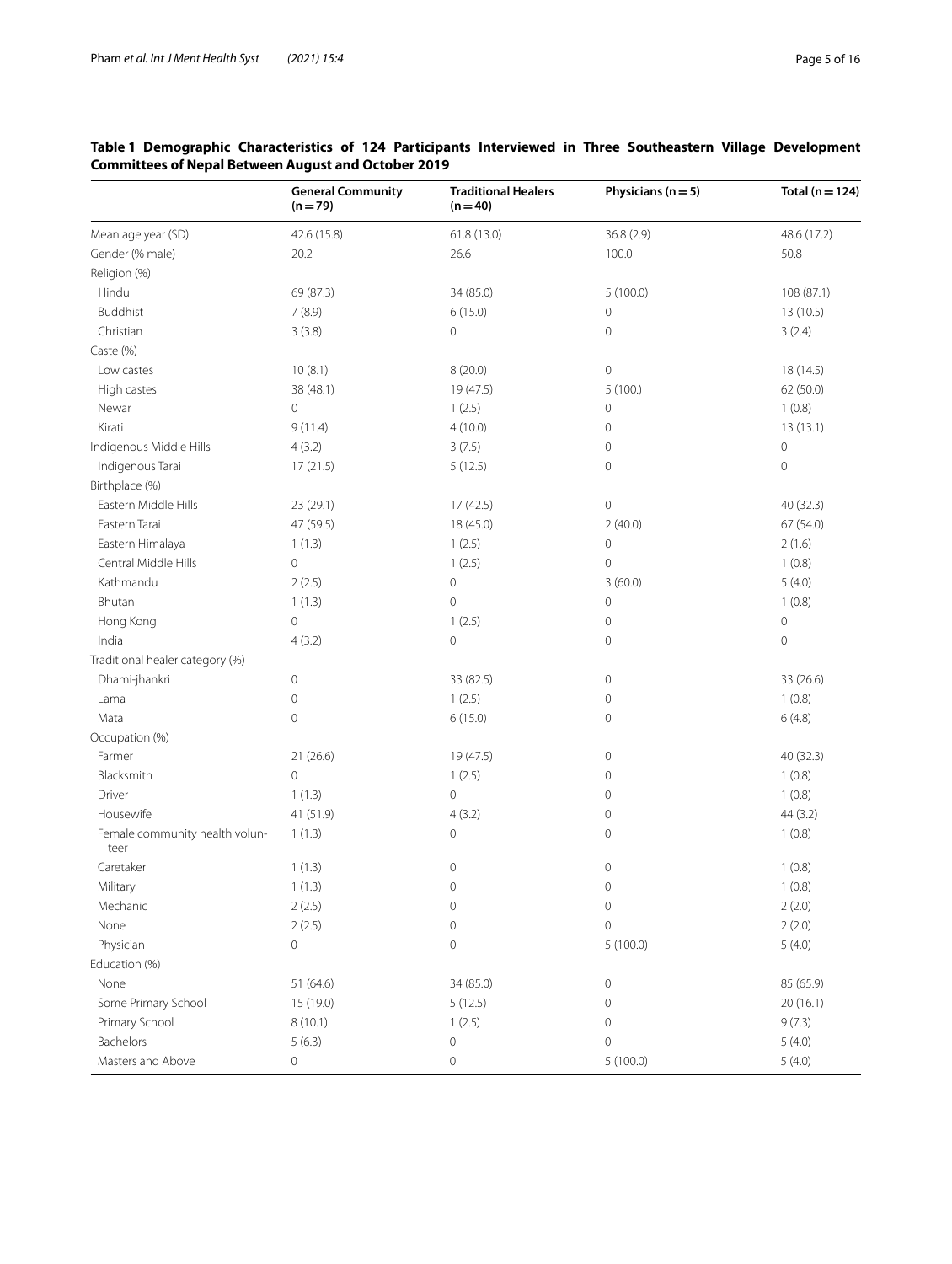|                                        | <b>General Community</b><br>$(n=79)$ | <b>Traditional Healers</b><br>$(n=40)$ | Physicians ( $n = 5$ ) | Total ( $n = 124$ ) |
|----------------------------------------|--------------------------------------|----------------------------------------|------------------------|---------------------|
| Mean age year (SD)                     | 42.6 (15.8)                          | 61.8 (13.0)                            | 36.8 (2.9)             | 48.6 (17.2)         |
| Gender (% male)                        | 20.2                                 | 26.6                                   | 100.0                  | 50.8                |
| Religion (%)                           |                                      |                                        |                        |                     |
| Hindu                                  | 69 (87.3)                            | 34 (85.0)                              | 5(100.0)               | 108 (87.1)          |
| <b>Buddhist</b>                        | 7(8.9)                               | 6(15.0)                                | 0                      | 13 (10.5)           |
| Christian                              | 3(3.8)                               | 0                                      | 0                      | 3(2.4)              |
| Caste (%)                              |                                      |                                        |                        |                     |
| Low castes                             | 10(8.1)                              | 8(20.0)                                | $\mathsf{O}\xspace$    | 18 (14.5)           |
| High castes                            | 38 (48.1)                            | 19 (47.5)                              | 5(100.)                | 62 (50.0)           |
| Newar                                  | 0                                    | 1(2.5)                                 | 0                      | 1(0.8)              |
| Kirati                                 | 9(11.4)                              | 4(10.0)                                | 0                      | 13(13.1)            |
| Indigenous Middle Hills                | 4(3.2)                               | 3(7.5)                                 | 0                      | $\circ$             |
| Indigenous Tarai                       | 17(21.5)                             | 5(12.5)                                | 0                      | $\mathbf 0$         |
| Birthplace (%)                         |                                      |                                        |                        |                     |
| Eastern Middle Hills                   | 23 (29.1)                            | 17 (42.5)                              | 0                      | 40 (32.3)           |
| Eastern Tarai                          | 47 (59.5)                            | 18 (45.0)                              | 2(40.0)                | 67 (54.0)           |
| Eastern Himalaya                       | 1(1.3)                               | 1(2.5)                                 | $\mathsf{O}\xspace$    | 2(1.6)              |
| Central Middle Hills                   | $\mathsf{O}\xspace$                  | 1(2.5)                                 | 0                      | 1(0.8)              |
| Kathmandu                              | 2(2.5)                               | $\mathsf{O}\xspace$                    | 3(60.0)                | 5(4.0)              |
| Bhutan                                 | 1(1.3)                               | $\mathbf 0$                            | 0                      | 1(0.8)              |
| Hong Kong                              | $\circ$                              | 1(2.5)                                 | 0                      | $\mathbf 0$         |
| India                                  | 4(3.2)                               | $\mathbf 0$                            | 0                      | $\mathbf 0$         |
| Traditional healer category (%)        |                                      |                                        |                        |                     |
| Dhami-jhankri                          | $\mathsf{O}\xspace$                  | 33 (82.5)                              | 0                      | 33 (26.6)           |
| Lama                                   | 0                                    | 1(2.5)                                 | 0                      | 1(0.8)              |
| Mata                                   | $\mathbf 0$                          | 6(15.0)                                | 0                      | 6(4.8)              |
| Occupation (%)                         |                                      |                                        |                        |                     |
| Farmer                                 | 21(26.6)                             | 19 (47.5)                              | 0                      | 40 (32.3)           |
| Blacksmith                             | $\mathsf{O}\xspace$                  | 1(2.5)                                 | 0                      | 1(0.8)              |
| Driver                                 | 1(1.3)                               | $\overline{0}$                         | 0                      | 1(0.8)              |
| Housewife                              | 41 (51.9)                            | 4(3.2)                                 | 0                      | 44(3.2)             |
| Female community health volun-<br>teer | 1(1.3)                               | 0                                      | 0                      | 1(0.8)              |
| Caretaker                              | 1(1.3)                               | 0                                      | 0                      | 1(0.8)              |
| Military                               | 1(1.3)                               | $\mathbf 0$                            | $\mathbf 0$            | 1(0.8)              |
| Mechanic                               | 2(2.5)                               | $\mathsf{O}\xspace$                    | 0                      | 2(2.0)              |
| None                                   | 2(2.5)                               | 0                                      | $\mathbf 0$            | 2(2.0)              |
| Physician                              | $\mathsf{O}\xspace$                  | 0                                      | 5(100.0)               | 5(4.0)              |
| Education (%)                          |                                      |                                        |                        |                     |
| None                                   | 51 (64.6)                            | 34 (85.0)                              | 0                      | 85 (65.9)           |
| Some Primary School                    | 15 (19.0)                            | 5(12.5)                                | 0                      | 20(16.1)            |
| Primary School                         | 8(10.1)                              | 1(2.5)                                 | 0                      | 9(7.3)              |
| Bachelors                              | 5(6.3)                               | 0                                      | 0                      | 5(4.0)              |
| Masters and Above                      | 0                                    | 0                                      | 5(100.0)               | 5(4.0)              |

## <span id="page-4-0"></span>**Table 1 Demographic Characteristics of 124 Participants Interviewed in Three Southeastern Village Development Committees of Nepal Between August and October 2019**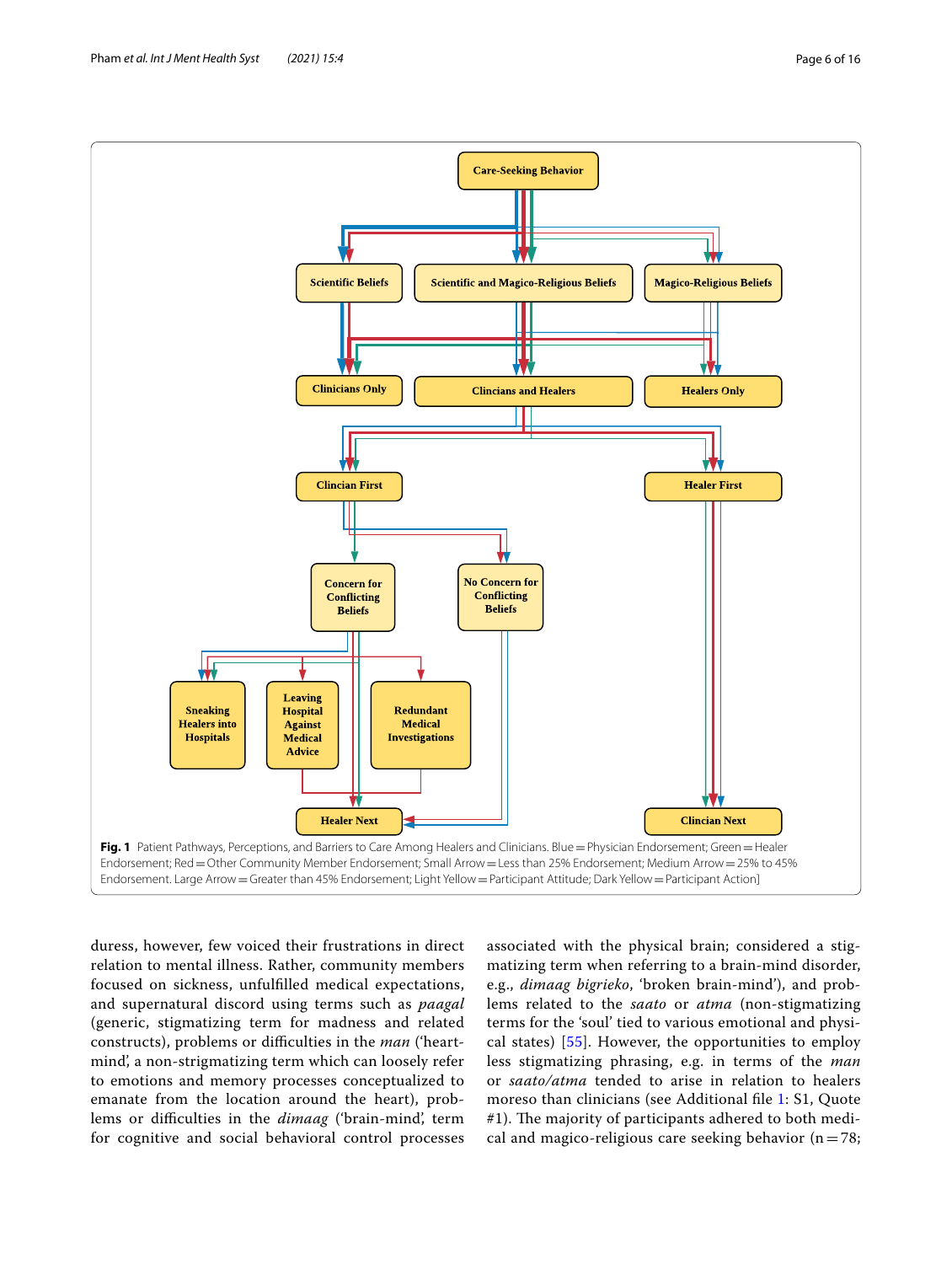Pham *et al. Int J Ment Health Syst (2021) 15:4* Page 6 of 16



<span id="page-5-0"></span>duress, however, few voiced their frustrations in direct relation to mental illness. Rather, community members focused on sickness, unfulflled medical expectations, and supernatural discord using terms such as *paagal* (generic, stigmatizing term for madness and related constructs), problems or difficulties in the *man* ('heartmind', a non-strigmatizing term which can loosely refer to emotions and memory processes conceptualized to emanate from the location around the heart), problems or difculties in the *dimaag* ('brain-mind', term for cognitive and social behavioral control processes associated with the physical brain; considered a stigmatizing term when referring to a brain-mind disorder, e.g., *dimaag bigrieko*, 'broken brain-mind'), and problems related to the *saato* or *atma* (non-stigmatizing terms for the 'soul' tied to various emotional and physical states) [[55\]](#page-15-7). However, the opportunities to employ less stigmatizing phrasing, e.g. in terms of the *man* or *saato/atma* tended to arise in relation to healers moreso than clinicians (see Additional fle [1:](#page-13-2) S1, Quote #1). The majority of participants adhered to both medical and magico-religious care seeking behavior ( $n=78$ ;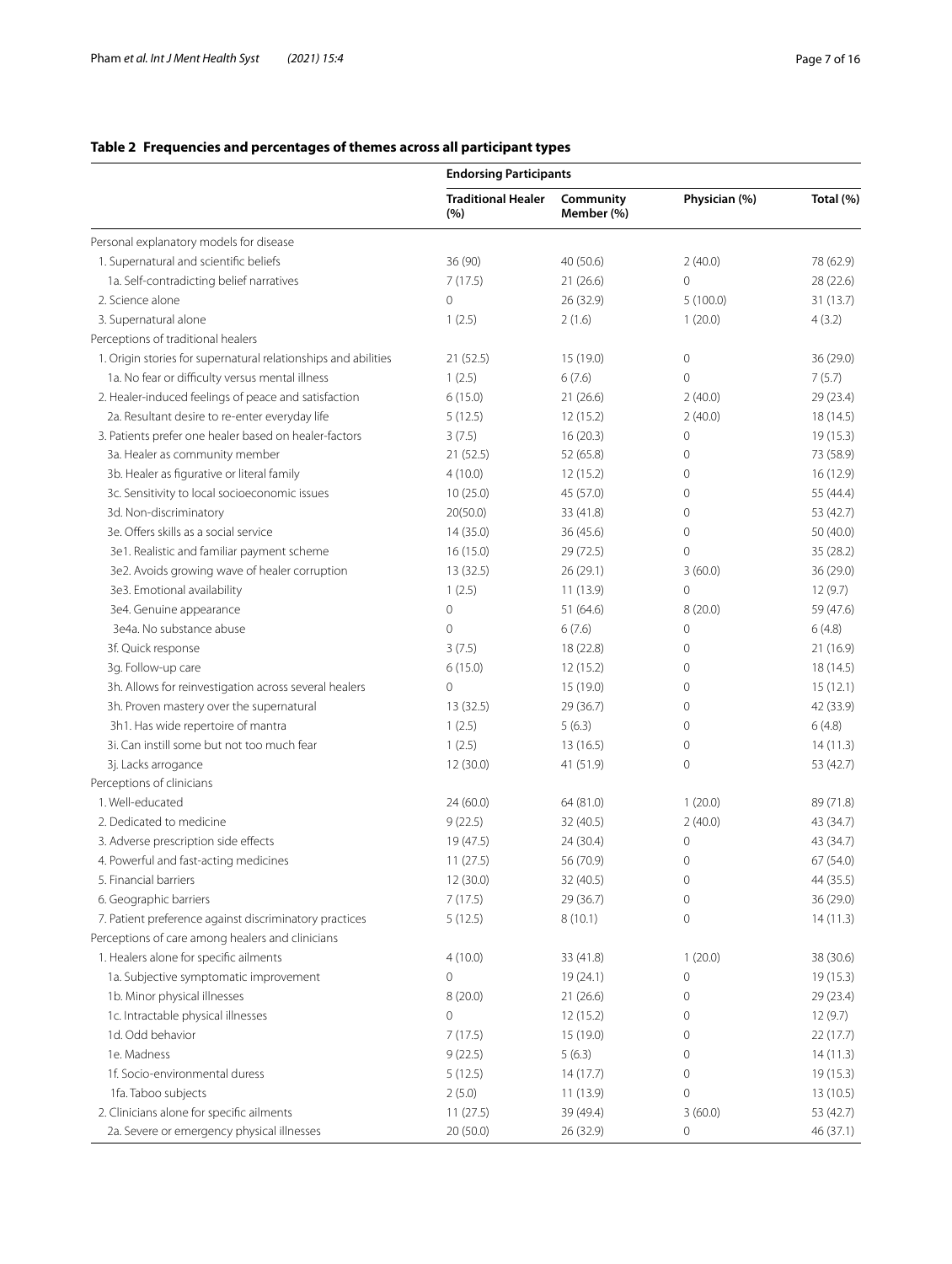# <span id="page-6-0"></span>**Table 2 Frequencies and percentages of themes across all participant types**

|                                                                | <b>Endorsing Participants</b>    |                         |                     |           |
|----------------------------------------------------------------|----------------------------------|-------------------------|---------------------|-----------|
|                                                                | <b>Traditional Healer</b><br>(%) | Community<br>Member (%) | Physician (%)       | Total (%) |
| Personal explanatory models for disease                        |                                  |                         |                     |           |
| 1. Supernatural and scientific beliefs                         | 36 (90)                          | 40 (50.6)               | 2(40.0)             | 78 (62.9) |
| 1a. Self-contradicting belief narratives                       | 7(17.5)                          | 21(26.6)                | $\mathbf 0$         | 28 (22.6) |
| 2. Science alone                                               | 0                                | 26 (32.9)               | 5(100.0)            | 31(13.7)  |
| 3. Supernatural alone                                          | 1(2.5)                           | 2(1.6)                  | 1(20.0)             | 4(3.2)    |
| Perceptions of traditional healers                             |                                  |                         |                     |           |
| 1. Origin stories for supernatural relationships and abilities | 21(52.5)                         | 15 (19.0)               | $\circ$             | 36 (29.0) |
| 1a. No fear or difficulty versus mental illness                | 1(2.5)                           | 6(7.6)                  | $\mathbf 0$         | 7(5.7)    |
| 2. Healer-induced feelings of peace and satisfaction           | 6(15.0)                          | 21(26.6)                | 2(40.0)             | 29 (23.4) |
| 2a. Resultant desire to re-enter everyday life                 | 5(12.5)                          | 12(15.2)                | 2(40.0)             | 18(14.5)  |
| 3. Patients prefer one healer based on healer-factors          | 3(7.5)                           | 16(20.3)                | $\mathbf 0$         | 19 (15.3) |
| 3a. Healer as community member                                 | 21(52.5)                         | 52 (65.8)               | $\mathbf 0$         | 73 (58.9) |
| 3b. Healer as figurative or literal family                     | 4(10.0)                          | 12(15.2)                | $\mathbf 0$         | 16(12.9)  |
| 3c. Sensitivity to local socioeconomic issues                  | 10(25.0)                         | 45 (57.0)               | $\mathbf 0$         | 55 (44.4) |
| 3d. Non-discriminatory                                         | 20(50.0)                         | 33 (41.8)               | $\mathbf 0$         | 53 (42.7) |
| 3e. Offers skills as a social service                          | 14 (35.0)                        | 36 (45.6)               | $\mathbf 0$         | 50 (40.0) |
|                                                                | 16(15.0)                         |                         | $\mathbf 0$         |           |
| 3e1. Realistic and familiar payment scheme                     |                                  | 29 (72.5)               |                     | 35 (28.2) |
| 3e2. Avoids growing wave of healer corruption                  | 13(32.5)                         | 26(29.1)                | 3(60.0)             | 36 (29.0) |
| 3e3. Emotional availability                                    | 1(2.5)                           | 11(13.9)                | $\mathbf 0$         | 12(9.7)   |
| 3e4. Genuine appearance                                        | 0                                | 51 (64.6)               | 8(20.0)             | 59 (47.6) |
| 3e4a. No substance abuse                                       | $\overline{0}$                   | 6(7.6)                  | $\mathbf 0$         | 6(4.8)    |
| 3f. Quick response                                             | 3(7.5)                           | 18 (22.8)               | $\mathbf 0$         | 21(16.9)  |
| 3g. Follow-up care                                             | 6(15.0)                          | 12 (15.2)               | $\mathbf 0$         | 18(14.5)  |
| 3h. Allows for reinvestigation across several healers          | 0                                | 15 (19.0)               | $\mathbf 0$         | 15(12.1)  |
| 3h. Proven mastery over the supernatural                       | 13 (32.5)                        | 29 (36.7)               | 0                   | 42 (33.9) |
| 3h1. Has wide repertoire of mantra                             | 1(2.5)                           | 5(6.3)                  | $\mathbf 0$         | 6(4.8)    |
| 3i. Can instill some but not too much fear                     | 1(2.5)                           | 13(16.5)                | 0                   | 14(11.3)  |
| 3j. Lacks arrogance                                            | 12 (30.0)                        | 41 (51.9)               | 0                   | 53 (42.7) |
| Perceptions of clinicians                                      |                                  |                         |                     |           |
| 1. Well-educated                                               | 24 (60.0)                        | 64 (81.0)               | 1(20.0)             | 89 (71.8) |
| 2. Dedicated to medicine                                       | 9(22.5)                          | 32 (40.5)               | 2(40.0)             | 43 (34.7) |
| 3. Adverse prescription side effects                           | 19 (47.5)                        | 24 (30.4)               | $\circ$             | 43 (34.7) |
| 4. Powerful and fast-acting medicines                          | 11(27.5)                         | 56 (70.9)               | $\mathbf 0$         | 67 (54.0) |
| 5. Financial barriers                                          | 12 (30.0)                        | 32 (40.5)               | $\mathsf{O}\xspace$ | 44 (35.5) |
| 6. Geographic barriers                                         | 7(17.5)                          | 29 (36.7)               | 0                   | 36 (29.0) |
| 7. Patient preference against discriminatory practices         | 5(12.5)                          | 8(10.1)                 | $\mathsf{O}\xspace$ | 14(11.3)  |
| Perceptions of care among healers and clinicians               |                                  |                         |                     |           |
| 1. Healers alone for specific ailments                         | 4(10.0)                          | 33 (41.8)               | 1(20.0)             | 38 (30.6) |
| 1a. Subjective symptomatic improvement                         | 0                                | 19 (24.1)               | $\mathbf 0$         | 19 (15.3) |
| 1b. Minor physical illnesses                                   | 8(20.0)                          | 21(26.6)                | 0                   | 29 (23.4) |
| 1c. Intractable physical illnesses                             | 0                                | 12 (15.2)               | 0                   | 12(9.7)   |
| 1d. Odd behavior                                               | 7(17.5)                          | 15 (19.0)               | 0                   | 22 (17.7) |
| 1e. Madness                                                    | 9(22.5)                          | 5(6.3)                  | $\circ$             | 14(11.3)  |
| 1f. Socio-environmental duress                                 | 5(12.5)                          | 14(17.7)                | $\mathbf 0$         | 19 (15.3) |
| 1fa. Taboo subjects                                            | 2(5.0)                           | 11(13.9)                | $\mathbf 0$         | 13(10.5)  |
| 2. Clinicians alone for specific ailments                      | 11(27.5)                         | 39 (49.4)               | 3(60.0)             | 53 (42.7) |
| 2a. Severe or emergency physical illnesses                     | 20 (50.0)                        | 26 (32.9)               | $\mathsf{O}\xspace$ | 46 (37.1) |
|                                                                |                                  |                         |                     |           |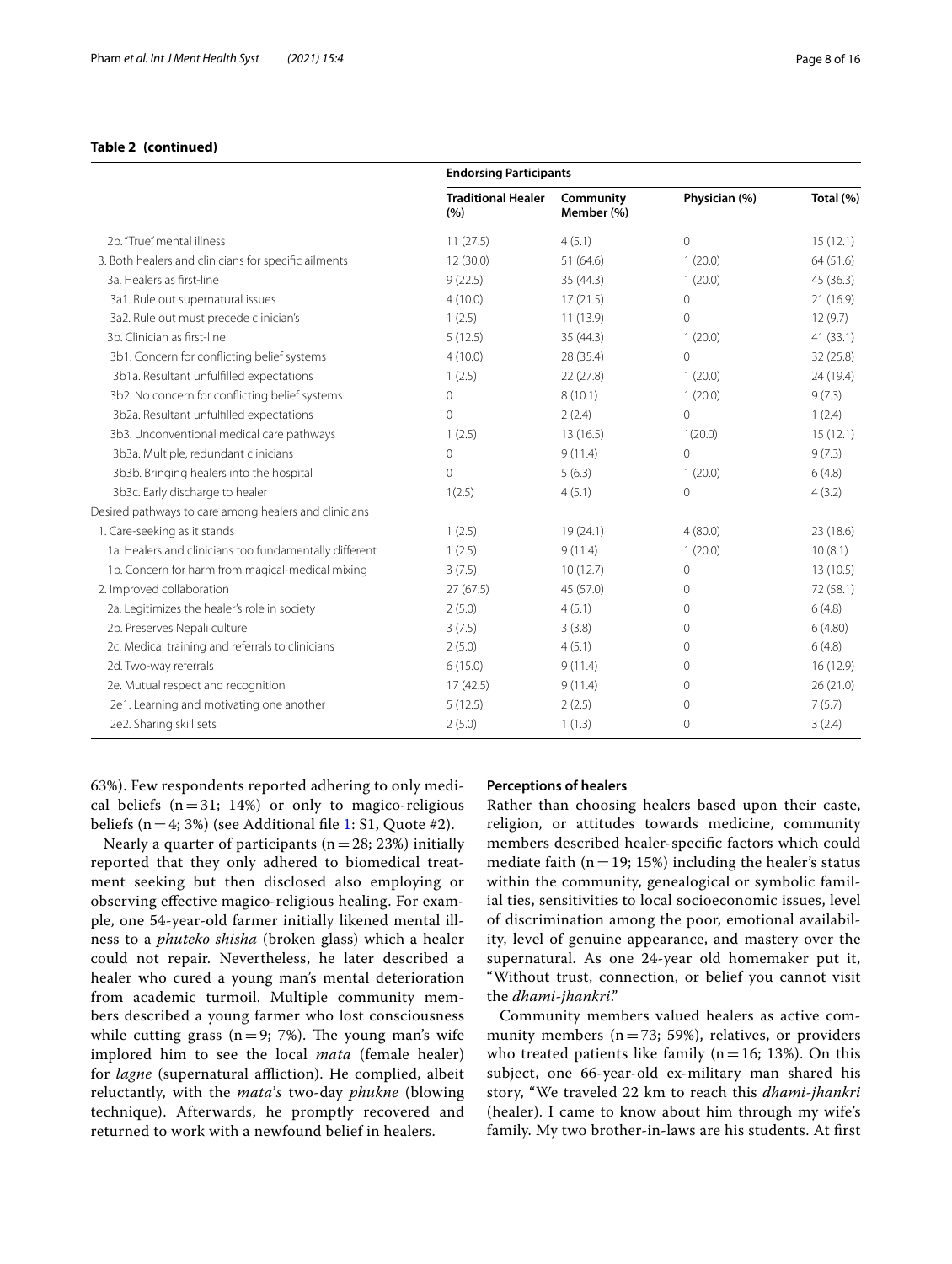## **Table 2 (continued)**

|                                                        | <b>Endorsing Participants</b>    |                         |                |           |
|--------------------------------------------------------|----------------------------------|-------------------------|----------------|-----------|
|                                                        | <b>Traditional Healer</b><br>(%) | Community<br>Member (%) | Physician (%)  | Total (%) |
| 2b. "True" mental illness                              | 11(27.5)                         | 4(5.1)                  | $\overline{0}$ | 15(12.1)  |
| 3. Both healers and clinicians for specific ailments   | 12(30.0)                         | 51(64.6)                | 1(20.0)        | 64 (51.6) |
| 3a. Healers as first-line                              | 9(22.5)                          | 35(44.3)                | 1(20.0)        | 45 (36.3) |
| 3a1. Rule out supernatural issues                      | 4(10.0)                          | 17(21.5)                | $\mathbf 0$    | 21(16.9)  |
| 3a2. Rule out must precede clinician's                 | 1(2.5)                           | 11(13.9)                | $\mathbf 0$    | 12(9.7)   |
| 3b. Clinician as first-line                            | 5(12.5)                          | 35(44.3)                | 1(20.0)        | 41(33.1)  |
| 3b1. Concern for conflicting belief systems            | 4(10.0)                          | 28 (35.4)               | $\mathbf 0$    | 32 (25.8) |
| 3b1a. Resultant unfulfilled expectations               | 1(2.5)                           | 22(27.8)                | 1(20.0)        | 24 (19.4) |
| 3b2. No concern for conflicting belief systems         | $\mathbf 0$                      | 8(10.1)                 | 1(20.0)        | 9(7.3)    |
| 3b2a. Resultant unfulfilled expectations               | $\circ$                          | 2(2.4)                  | $\overline{0}$ | 1(2.4)    |
| 3b3. Unconventional medical care pathways              | 1(2.5)                           | 13(16.5)                | 1(20.0)        | 15(12.1)  |
| 3b3a. Multiple, redundant clinicians                   | $\mathbf 0$                      | 9(11.4)                 | $\overline{0}$ | 9(7.3)    |
| 3b3b. Bringing healers into the hospital               | $\Omega$                         | 5(6.3)                  | 1(20.0)        | 6(4.8)    |
| 3b3c. Early discharge to healer                        | 1(2.5)                           | 4(5.1)                  | $\mathbf 0$    | 4(3.2)    |
| Desired pathways to care among healers and clinicians  |                                  |                         |                |           |
| 1. Care-seeking as it stands                           | 1(2.5)                           | 19(24.1)                | 4(80.0)        | 23(18.6)  |
| 1a. Healers and clinicians too fundamentally different | 1(2.5)                           | 9(11.4)                 | 1(20.0)        | 10(8.1)   |
| 1b. Concern for harm from magical-medical mixing       | 3(7.5)                           | 10(12.7)                | $\mathbf 0$    | 13(10.5)  |
| 2. Improved collaboration                              | 27(67.5)                         | 45 (57.0)               | $\mathbf{0}$   | 72 (58.1) |
| 2a. Legitimizes the healer's role in society           | 2(5.0)                           | 4(5.1)                  | $\mathbf{0}$   | 6(4.8)    |
| 2b. Preserves Nepali culture                           | 3(7.5)                           | 3(3.8)                  | $\Omega$       | 6(4.80)   |
| 2c. Medical training and referrals to clinicians       | 2(5.0)                           | 4(5.1)                  | $\circ$        | 6(4.8)    |
| 2d. Two-way referrals                                  | 6(15.0)                          | 9(11.4)                 | $\Omega$       | 16(12.9)  |
| 2e. Mutual respect and recognition                     | 17(42.5)                         | 9(11.4)                 | $\mathbf{0}$   | 26(21.0)  |
| 2e1. Learning and motivating one another               | 5(12.5)                          | 2(2.5)                  | $\mathbf{0}$   | 7(5.7)    |
| 2e2. Sharing skill sets                                | 2(5.0)                           | 1(1.3)                  | $\mathbf 0$    | 3(2.4)    |

63%). Few respondents reported adhering to only medical beliefs  $(n=31; 14%)$  or only to magico-religious beliefs  $(n=4; 3%)$  (see Additional file [1](#page-13-2): S1, Quote #2).

Nearly a quarter of participants ( $n=28$ ; 23%) initially reported that they only adhered to biomedical treatment seeking but then disclosed also employing or observing efective magico-religious healing. For example, one 54-year-old farmer initially likened mental illness to a *phuteko shisha* (broken glass) which a healer could not repair. Nevertheless, he later described a healer who cured a young man's mental deterioration from academic turmoil. Multiple community members described a young farmer who lost consciousness while cutting grass  $(n=9; 7%)$ . The young man's wife implored him to see the local *mata* (female healer) for *lagne* (supernatural affliction). He complied, albeit reluctantly, with the *mata*'*s* two-day *phukne* (blowing technique). Afterwards, he promptly recovered and returned to work with a newfound belief in healers.

#### **Perceptions of healers**

Rather than choosing healers based upon their caste, religion, or attitudes towards medicine, community members described healer-specifc factors which could mediate faith ( $n=19$ ; 15%) including the healer's status within the community, genealogical or symbolic familial ties, sensitivities to local socioeconomic issues, level of discrimination among the poor, emotional availability, level of genuine appearance, and mastery over the supernatural. As one 24-year old homemaker put it, "Without trust, connection, or belief you cannot visit the *dhami*-*jhankri*."

Community members valued healers as active community members ( $n=73$ ; 59%), relatives, or providers who treated patients like family ( $n=16$ ; 13%). On this subject, one 66-year-old ex-military man shared his story, "We traveled 22 km to reach this *dhami*-*jhankri* (healer). I came to know about him through my wife's family. My two brother-in-laws are his students. At frst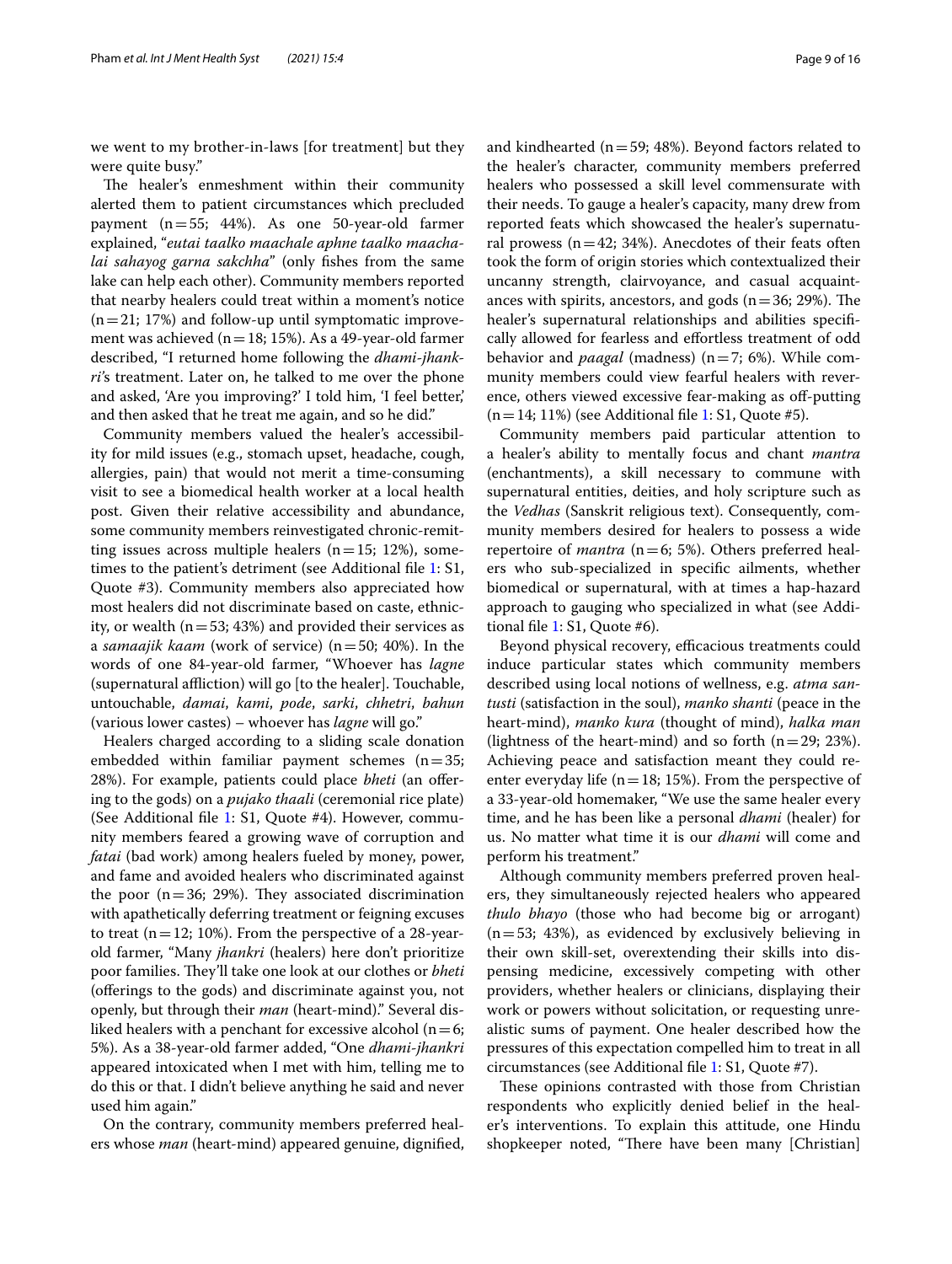we went to my brother-in-laws [for treatment] but they were quite busy."

The healer's enmeshment within their community alerted them to patient circumstances which precluded payment (n=55; 44%). As one 50-year-old farmer explained, "*eutai taalko maachale aphne taalko maachalai sahayog garna sakchha*" (only fshes from the same lake can help each other). Community members reported that nearby healers could treat within a moment's notice  $(n=21; 17%)$  and follow-up until symptomatic improvement was achieved ( $n=18$ ; 15%). As a 49-year-old farmer described, "I returned home following the *dhami*-*jhankri'*s treatment. Later on, he talked to me over the phone and asked, 'Are you improving?' I told him, 'I feel better,' and then asked that he treat me again, and so he did."

Community members valued the healer's accessibility for mild issues (e.g., stomach upset, headache, cough, allergies, pain) that would not merit a time-consuming visit to see a biomedical health worker at a local health post. Given their relative accessibility and abundance, some community members reinvestigated chronic-remitting issues across multiple healers  $(n=15; 12%)$ , some-times to the patient's detriment (see Additional file [1](#page-13-2): S1, Quote #3). Community members also appreciated how most healers did not discriminate based on caste, ethnicity, or wealth ( $n=53$ ; 43%) and provided their services as a *samaajik kaam* (work of service) (n=50; 40%). In the words of one 84-year-old farmer, "Whoever has *lagne* (supernatural affliction) will go [to the healer]. Touchable, untouchable, *damai*, *kami*, *pode*, *sarki*, *chhetri*, *bahun* (various lower castes) – whoever has *lagne* will go."

Healers charged according to a sliding scale donation embedded within familiar payment schemes  $(n=35;$ 28%). For example, patients could place *bheti* (an ofering to the gods) on a *pujako thaali* (ceremonial rice plate) (See Additional fle [1:](#page-13-2) S1, Quote #4). However, community members feared a growing wave of corruption and *fatai* (bad work) among healers fueled by money, power, and fame and avoided healers who discriminated against the poor  $(n=36; 29%)$ . They associated discrimination with apathetically deferring treatment or feigning excuses to treat  $(n=12; 10\%)$ . From the perspective of a 28-yearold farmer, "Many *jhankri* (healers) here don't prioritize poor families. They'll take one look at our clothes or *bheti* (offerings to the gods) and discriminate against you, not openly, but through their *man* (heart-mind)." Several disliked healers with a penchant for excessive alcohol ( $n=6$ ; 5%). As a 38-year-old farmer added, "One *dhami*-*jhankri* appeared intoxicated when I met with him, telling me to do this or that. I didn't believe anything he said and never used him again."

On the contrary, community members preferred healers whose *man* (heart-mind) appeared genuine, dignifed, and kindhearted ( $n=59$ ; 48%). Beyond factors related to the healer's character, community members preferred healers who possessed a skill level commensurate with their needs. To gauge a healer's capacity, many drew from reported feats which showcased the healer's supernatural prowess ( $n=42$ ; 34%). Anecdotes of their feats often took the form of origin stories which contextualized their uncanny strength, clairvoyance, and casual acquaintances with spirits, ancestors, and gods  $(n=36; 29%)$ . The healer's supernatural relationships and abilities specifcally allowed for fearless and efortless treatment of odd behavior and *paagal* (madness) (n=7; 6%). While community members could view fearful healers with reverence, others viewed excessive fear-making as off-putting  $(n=14; 11%)$  (see Additional file [1:](#page-13-2) S1, Quote #5).

Community members paid particular attention to a healer's ability to mentally focus and chant *mantra* (enchantments), a skill necessary to commune with supernatural entities, deities, and holy scripture such as the *Vedhas* (Sanskrit religious text). Consequently, community members desired for healers to possess a wide repertoire of *mantra* ( $n=6$ ; 5%). Others preferred healers who sub-specialized in specifc ailments, whether biomedical or supernatural, with at times a hap-hazard approach to gauging who specialized in what (see Additional fle [1](#page-13-2): S1, Quote #6).

Beyond physical recovery, efficacious treatments could induce particular states which community members described using local notions of wellness, e.g. *atma santusti* (satisfaction in the soul), *manko shanti* (peace in the heart-mind), *manko kura* (thought of mind), *halka man* (lightness of the heart-mind) and so forth  $(n=29; 23%)$ . Achieving peace and satisfaction meant they could reenter everyday life ( $n=18$ ; 15%). From the perspective of a 33-year-old homemaker, "We use the same healer every time, and he has been like a personal *dhami* (healer) for us. No matter what time it is our *dhami* will come and perform his treatment."

Although community members preferred proven healers, they simultaneously rejected healers who appeared *thulo bhayo* (those who had become big or arrogant)  $(n=53; 43%)$ , as evidenced by exclusively believing in their own skill-set, overextending their skills into dispensing medicine, excessively competing with other providers, whether healers or clinicians, displaying their work or powers without solicitation, or requesting unrealistic sums of payment. One healer described how the pressures of this expectation compelled him to treat in all circumstances (see Additional fle [1](#page-13-2): S1, Quote #7).

These opinions contrasted with those from Christian respondents who explicitly denied belief in the healer's interventions. To explain this attitude, one Hindu shopkeeper noted, "There have been many [Christian]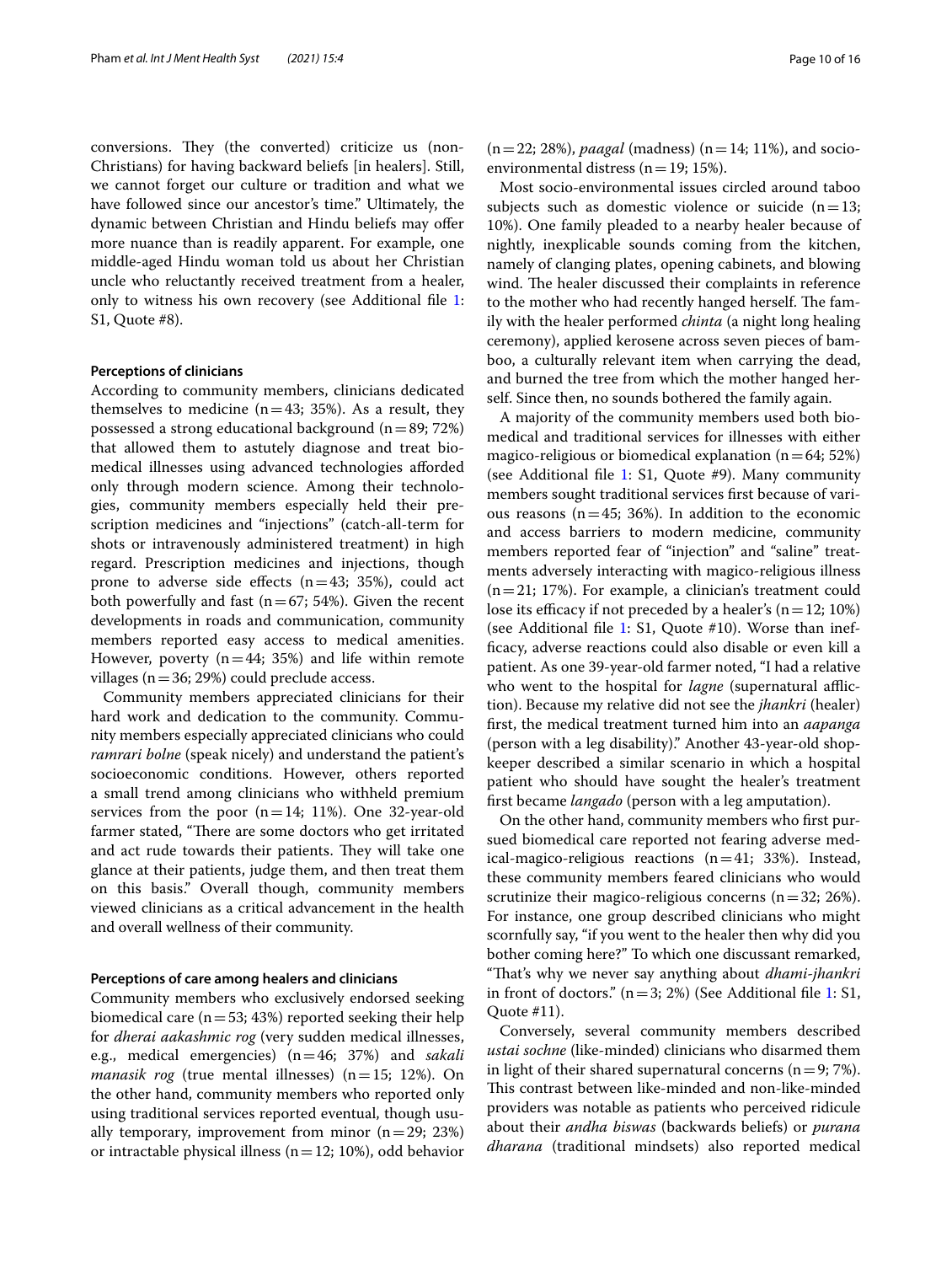conversions. They (the converted) criticize us (non-Christians) for having backward beliefs [in healers]. Still, we cannot forget our culture or tradition and what we have followed since our ancestor's time." Ultimately, the dynamic between Christian and Hindu beliefs may offer more nuance than is readily apparent. For example, one middle-aged Hindu woman told us about her Christian uncle who reluctantly received treatment from a healer, only to witness his own recovery (see Additional file [1](#page-13-2): S1, Quote #8).

## **Perceptions of clinicians**

According to community members, clinicians dedicated themselves to medicine  $(n=43; 35%)$ . As a result, they possessed a strong educational background  $(n=89; 72%)$ that allowed them to astutely diagnose and treat biomedical illnesses using advanced technologies aforded only through modern science. Among their technologies, community members especially held their prescription medicines and "injections" (catch-all-term for shots or intravenously administered treatment) in high regard. Prescription medicines and injections, though prone to adverse side effects  $(n=43; 35%)$ , could act both powerfully and fast ( $n=67$ ; 54%). Given the recent developments in roads and communication, community members reported easy access to medical amenities. However, poverty ( $n=44$ ; 35%) and life within remote villages ( $n=36$ ; 29%) could preclude access.

Community members appreciated clinicians for their hard work and dedication to the community. Community members especially appreciated clinicians who could *ramrari bolne* (speak nicely) and understand the patient's socioeconomic conditions. However, others reported a small trend among clinicians who withheld premium services from the poor  $(n=14; 11\%)$ . One 32-year-old farmer stated, "There are some doctors who get irritated and act rude towards their patients. They will take one glance at their patients, judge them, and then treat them on this basis." Overall though, community members viewed clinicians as a critical advancement in the health and overall wellness of their community.

## **Perceptions of care among healers and clinicians**

Community members who exclusively endorsed seeking biomedical care ( $n=53$ ; 43%) reported seeking their help for *dherai aakashmic rog* (very sudden medical illnesses, e.g., medical emergencies) (n=46; 37%) and *sakali manasik rog* (true mental illnesses)  $(n=15; 12%)$ . On the other hand, community members who reported only using traditional services reported eventual, though usually temporary, improvement from minor  $(n=29; 23%)$ or intractable physical illness  $(n=12; 10%)$ , odd behavior

Most socio-environmental issues circled around taboo subjects such as domestic violence or suicide  $(n=13;$ 10%). One family pleaded to a nearby healer because of nightly, inexplicable sounds coming from the kitchen, namely of clanging plates, opening cabinets, and blowing wind. The healer discussed their complaints in reference to the mother who had recently hanged herself. The family with the healer performed *chinta* (a night long healing ceremony), applied kerosene across seven pieces of bamboo, a culturally relevant item when carrying the dead, and burned the tree from which the mother hanged herself. Since then, no sounds bothered the family again.

A majority of the community members used both biomedical and traditional services for illnesses with either magico-religious or biomedical explanation  $(n=64; 52%)$ (see Additional file  $1: S1$  $1: S1$ , Quote #9). Many community members sought traditional services frst because of various reasons ( $n=45$ ; 36%). In addition to the economic and access barriers to modern medicine, community members reported fear of "injection" and "saline" treatments adversely interacting with magico-religious illness (n=21; 17%). For example, a clinician's treatment could lose its efficacy if not preceded by a healer's  $(n=12; 10%)$ (see Additional fle [1](#page-13-2): S1, Quote #10). Worse than ineffcacy, adverse reactions could also disable or even kill a patient. As one 39-year-old farmer noted, "I had a relative who went to the hospital for *lagne* (supernatural affliction). Because my relative did not see the *jhankri* (healer) frst, the medical treatment turned him into an *aapanga* (person with a leg disability)." Another 43-year-old shopkeeper described a similar scenario in which a hospital patient who should have sought the healer's treatment frst became *langado* (person with a leg amputation).

On the other hand, community members who frst pursued biomedical care reported not fearing adverse medical-magico-religious reactions  $(n=41; 33%)$ . Instead, these community members feared clinicians who would scrutinize their magico-religious concerns ( $n=32$ ; 26%). For instance, one group described clinicians who might scornfully say, "if you went to the healer then why did you bother coming here?" To which one discussant remarked, "Tat's why we never say anything about *dhami*-*jhankri* in front of doctors."  $(n=3; 2%)$  (See Additional file [1](#page-13-2): S1, Quote #11).

Conversely, several community members described *ustai sochne* (like-minded) clinicians who disarmed them in light of their shared supernatural concerns  $(n=9; 7%)$ . This contrast between like-minded and non-like-minded providers was notable as patients who perceived ridicule about their *andha biswas* (backwards beliefs) or *purana dharana* (traditional mindsets) also reported medical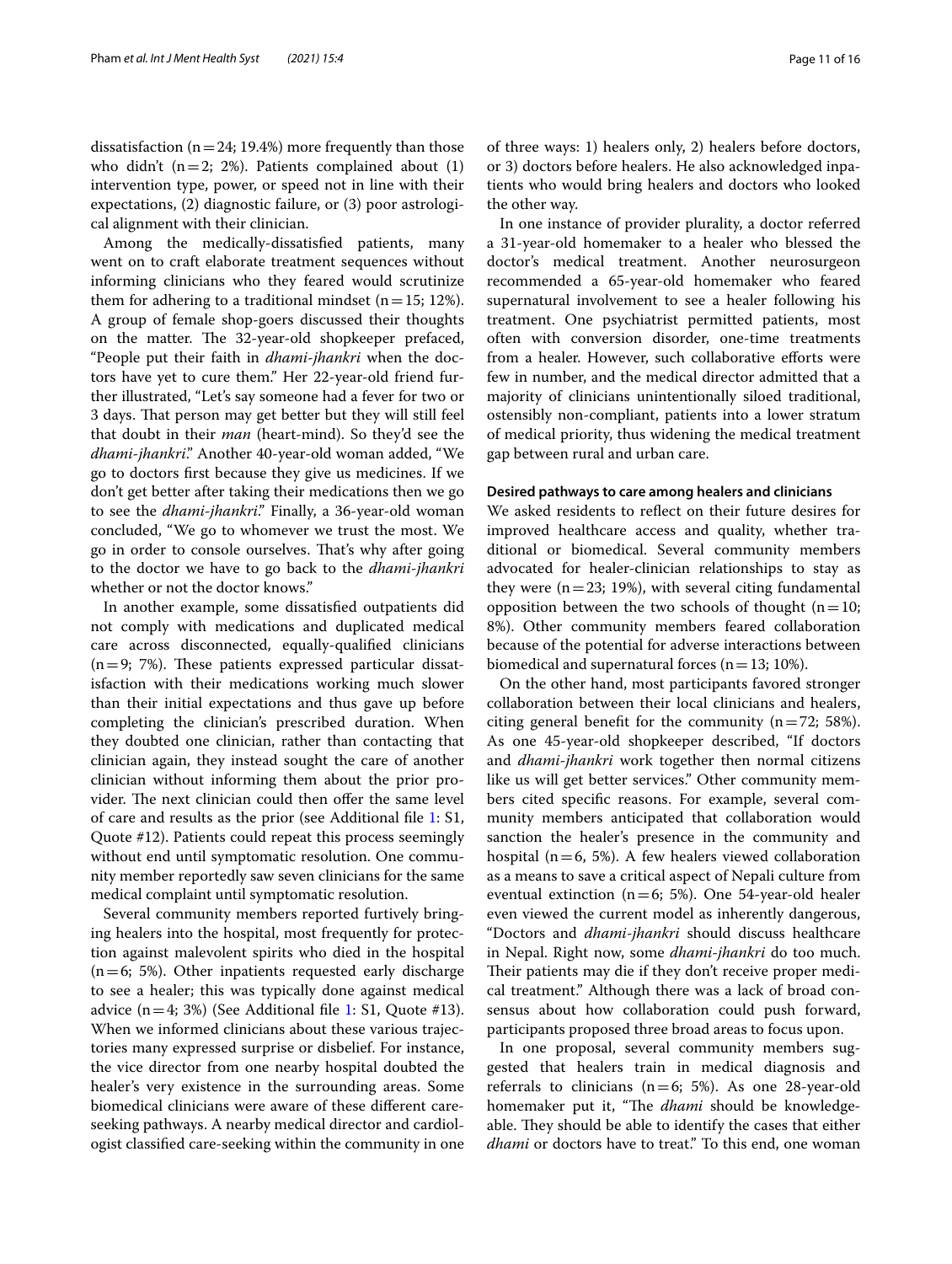dissatisfaction ( $n=24$ ; 19.4%) more frequently than those who didn't  $(n=2; 2%)$ . Patients complained about  $(1)$ intervention type, power, or speed not in line with their expectations, (2) diagnostic failure, or (3) poor astrological alignment with their clinician.

Among the medically-dissatisfed patients, many went on to craft elaborate treatment sequences without informing clinicians who they feared would scrutinize them for adhering to a traditional mindset ( $n=15$ ; 12%). A group of female shop-goers discussed their thoughts on the matter. The 32-year-old shopkeeper prefaced, "People put their faith in *dhami*-*jhankri* when the doctors have yet to cure them." Her 22-year-old friend further illustrated, "Let's say someone had a fever for two or 3 days. That person may get better but they will still feel that doubt in their *man* (heart-mind). So they'd see the *dhami*-*jhankri*." Another 40-year-old woman added, "We go to doctors frst because they give us medicines. If we don't get better after taking their medications then we go to see the *dhami*-*jhankri*." Finally, a 36-year-old woman concluded, "We go to whomever we trust the most. We go in order to console ourselves. Tat's why after going to the doctor we have to go back to the *dhami*-*jhankri* whether or not the doctor knows."

In another example, some dissatisfed outpatients did not comply with medications and duplicated medical care across disconnected, equally-qualifed clinicians  $(n=9; 7%)$ . These patients expressed particular dissatisfaction with their medications working much slower than their initial expectations and thus gave up before completing the clinician's prescribed duration. When they doubted one clinician, rather than contacting that clinician again, they instead sought the care of another clinician without informing them about the prior provider. The next clinician could then offer the same level of care and results as the prior (see Additional fle [1](#page-13-2): S1, Quote #12). Patients could repeat this process seemingly without end until symptomatic resolution. One community member reportedly saw seven clinicians for the same medical complaint until symptomatic resolution.

Several community members reported furtively bringing healers into the hospital, most frequently for protection against malevolent spirits who died in the hospital  $(n=6; 5\%)$ . Other inpatients requested early discharge to see a healer; this was typically done against medical advice  $(n=4; 3%)$  (See Additional file [1:](#page-13-2) S1, Quote #13). When we informed clinicians about these various trajectories many expressed surprise or disbelief. For instance, the vice director from one nearby hospital doubted the healer's very existence in the surrounding areas. Some biomedical clinicians were aware of these diferent careseeking pathways. A nearby medical director and cardiologist classifed care-seeking within the community in one of three ways: 1) healers only, 2) healers before doctors, or 3) doctors before healers. He also acknowledged inpatients who would bring healers and doctors who looked the other way.

In one instance of provider plurality, a doctor referred a 31-year-old homemaker to a healer who blessed the doctor's medical treatment. Another neurosurgeon recommended a 65-year-old homemaker who feared supernatural involvement to see a healer following his treatment. One psychiatrist permitted patients, most often with conversion disorder, one-time treatments from a healer. However, such collaborative eforts were few in number, and the medical director admitted that a majority of clinicians unintentionally siloed traditional, ostensibly non-compliant, patients into a lower stratum of medical priority, thus widening the medical treatment gap between rural and urban care.

## **Desired pathways to care among healers and clinicians**

We asked residents to refect on their future desires for improved healthcare access and quality, whether traditional or biomedical. Several community members advocated for healer-clinician relationships to stay as they were  $(n=23; 19%)$ , with several citing fundamental opposition between the two schools of thought ( $n=10$ ; 8%). Other community members feared collaboration because of the potential for adverse interactions between biomedical and supernatural forces ( $n=13$ ; 10%).

On the other hand, most participants favored stronger collaboration between their local clinicians and healers, citing general benefit for the community  $(n=72; 58\%).$ As one 45-year-old shopkeeper described, "If doctors and *dhami*-*jhankri* work together then normal citizens like us will get better services." Other community members cited specifc reasons. For example, several community members anticipated that collaboration would sanction the healer's presence in the community and hospital ( $n=6$ , 5%). A few healers viewed collaboration as a means to save a critical aspect of Nepali culture from eventual extinction ( $n=6$ ; 5%). One 54-year-old healer even viewed the current model as inherently dangerous, "Doctors and *dhami*-*jhankri* should discuss healthcare in Nepal. Right now, some *dhami*-*jhankri* do too much. Their patients may die if they don't receive proper medical treatment." Although there was a lack of broad consensus about how collaboration could push forward, participants proposed three broad areas to focus upon.

In one proposal, several community members suggested that healers train in medical diagnosis and referrals to clinicians  $(n=6; 5\%)$ . As one 28-year-old homemaker put it, "The *dhami* should be knowledgeable. They should be able to identify the cases that either *dhami* or doctors have to treat." To this end, one woman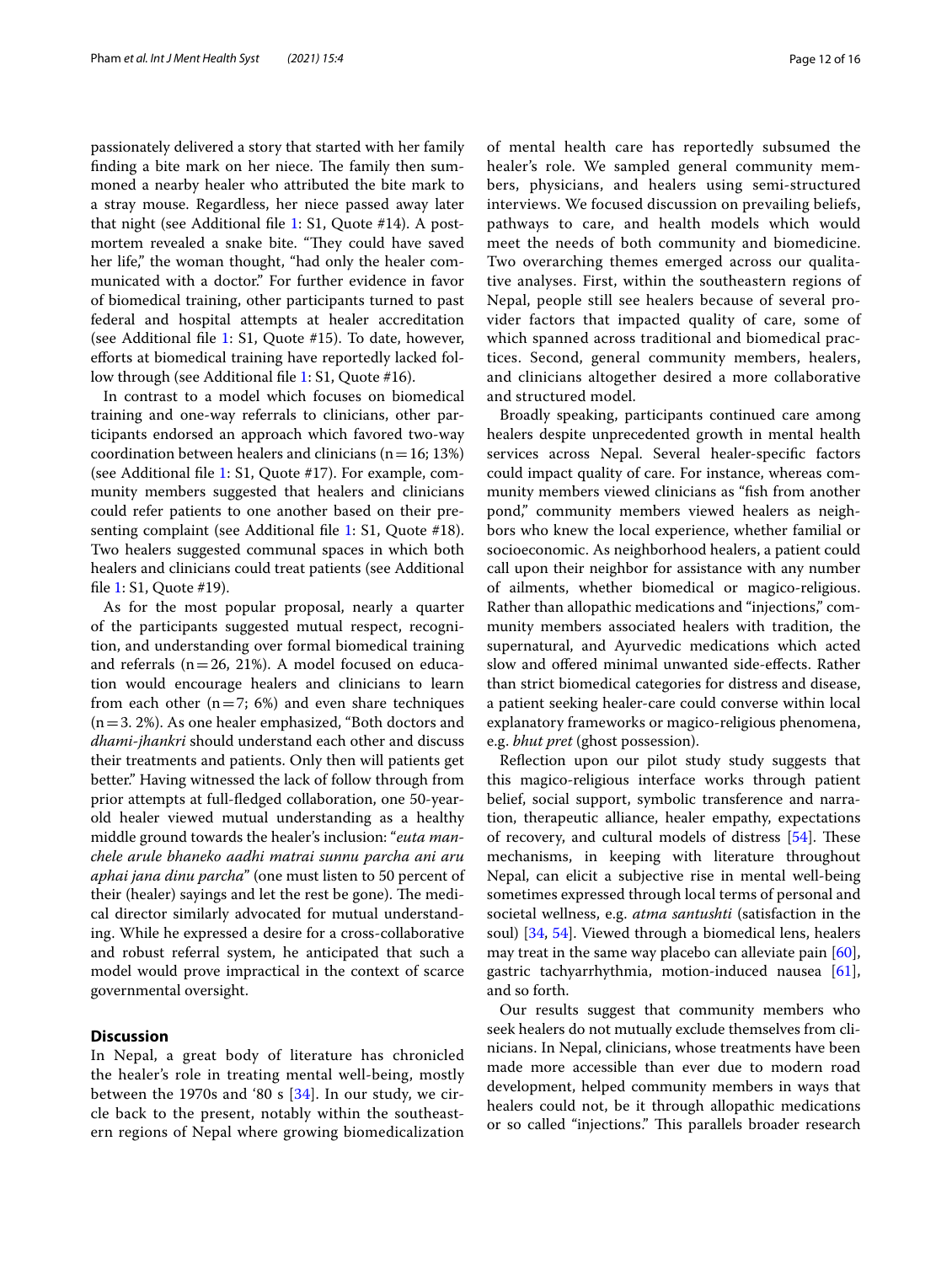passionately delivered a story that started with her family finding a bite mark on her niece. The family then summoned a nearby healer who attributed the bite mark to a stray mouse. Regardless, her niece passed away later that night (see Additional fle [1:](#page-13-2) S1, Quote #14). A postmortem revealed a snake bite. "They could have saved her life," the woman thought, "had only the healer communicated with a doctor." For further evidence in favor of biomedical training, other participants turned to past federal and hospital attempts at healer accreditation (see Additional fle [1:](#page-13-2) S1, Quote #15). To date, however, eforts at biomedical training have reportedly lacked fol-low through (see Additional file [1:](#page-13-2) S1, Quote #16).

In contrast to a model which focuses on biomedical training and one-way referrals to clinicians, other participants endorsed an approach which favored two-way coordination between healers and clinicians ( $n=16; 13%$ ) (see Additional fle [1:](#page-13-2) S1, Quote #17). For example, community members suggested that healers and clinicians could refer patients to one another based on their pre-senting complaint (see Additional file [1:](#page-13-2) S1, Quote #18). Two healers suggested communal spaces in which both healers and clinicians could treat patients (see Additional fle [1](#page-13-2): S1, Quote #19).

As for the most popular proposal, nearly a quarter of the participants suggested mutual respect, recognition, and understanding over formal biomedical training and referrals  $(n=26, 21\%)$ . A model focused on education would encourage healers and clinicians to learn from each other  $(n=7; 6%)$  and even share techniques  $(n=3. 2\%)$ . As one healer emphasized, "Both doctors and *dhami*-*jhankri* should understand each other and discuss their treatments and patients. Only then will patients get better." Having witnessed the lack of follow through from prior attempts at full-fedged collaboration, one 50-yearold healer viewed mutual understanding as a healthy middle ground towards the healer's inclusion: "*euta manchele arule bhaneko aadhi matrai sunnu parcha ani aru aphai jana dinu parcha*" (one must listen to 50 percent of their (healer) sayings and let the rest be gone). The medical director similarly advocated for mutual understanding. While he expressed a desire for a cross-collaborative and robust referral system, he anticipated that such a model would prove impractical in the context of scarce governmental oversight.

## **Discussion**

In Nepal, a great body of literature has chronicled the healer's role in treating mental well-being, mostly between the 1970s and '80 s  $[34]$  $[34]$  $[34]$ . In our study, we circle back to the present, notably within the southeastern regions of Nepal where growing biomedicalization of mental health care has reportedly subsumed the healer's role. We sampled general community members, physicians, and healers using semi-structured interviews. We focused discussion on prevailing beliefs, pathways to care, and health models which would meet the needs of both community and biomedicine. Two overarching themes emerged across our qualitative analyses. First, within the southeastern regions of Nepal, people still see healers because of several provider factors that impacted quality of care, some of which spanned across traditional and biomedical practices. Second, general community members, healers, and clinicians altogether desired a more collaborative and structured model.

Broadly speaking, participants continued care among healers despite unprecedented growth in mental health services across Nepal. Several healer-specifc factors could impact quality of care. For instance, whereas community members viewed clinicians as "fsh from another pond," community members viewed healers as neighbors who knew the local experience, whether familial or socioeconomic. As neighborhood healers, a patient could call upon their neighbor for assistance with any number of ailments, whether biomedical or magico-religious. Rather than allopathic medications and "injections," community members associated healers with tradition, the supernatural, and Ayurvedic medications which acted slow and ofered minimal unwanted side-efects. Rather than strict biomedical categories for distress and disease, a patient seeking healer-care could converse within local explanatory frameworks or magico-religious phenomena, e.g. *bhut pret* (ghost possession).

Refection upon our pilot study study suggests that this magico-religious interface works through patient belief, social support, symbolic transference and narration, therapeutic alliance, healer empathy, expectations of recovery, and cultural models of distress  $[54]$  $[54]$  $[54]$ . These mechanisms, in keeping with literature throughout Nepal, can elicit a subjective rise in mental well-being sometimes expressed through local terms of personal and societal wellness, e.g. *atma santushti* (satisfaction in the soul) [[34,](#page-14-28) [54\]](#page-15-6). Viewed through a biomedical lens, healers may treat in the same way placebo can alleviate pain [\[60](#page-15-12)], gastric tachyarrhythmia, motion-induced nausea [\[61](#page-15-13)], and so forth.

Our results suggest that community members who seek healers do not mutually exclude themselves from clinicians. In Nepal, clinicians, whose treatments have been made more accessible than ever due to modern road development, helped community members in ways that healers could not, be it through allopathic medications or so called "injections." This parallels broader research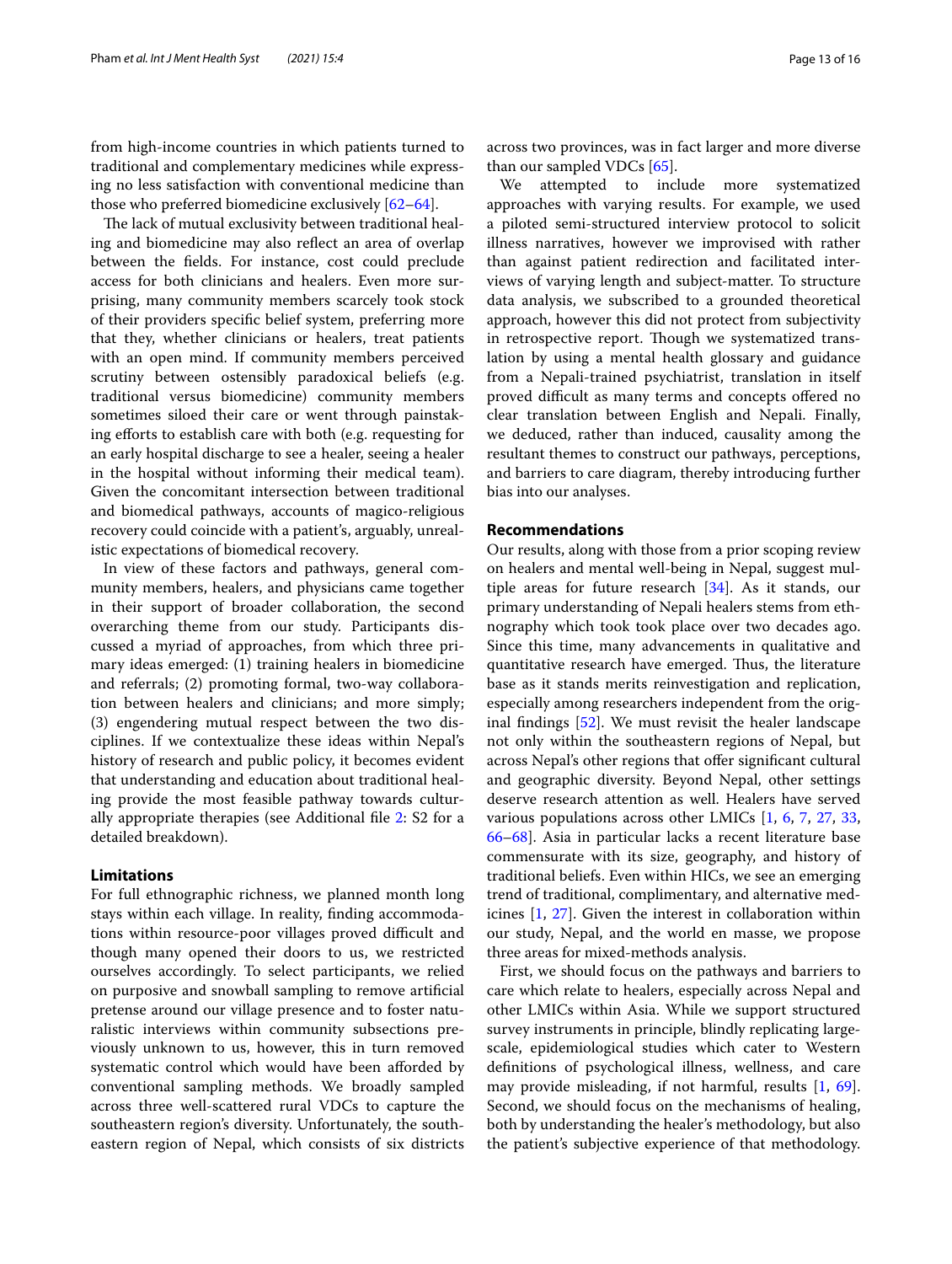from high-income countries in which patients turned to traditional and complementary medicines while expressing no less satisfaction with conventional medicine than those who preferred biomedicine exclusively [[62](#page-15-14)[–64](#page-15-15)].

The lack of mutual exclusivity between traditional healing and biomedicine may also refect an area of overlap between the felds. For instance, cost could preclude access for both clinicians and healers. Even more surprising, many community members scarcely took stock of their providers specifc belief system, preferring more that they, whether clinicians or healers, treat patients with an open mind. If community members perceived scrutiny between ostensibly paradoxical beliefs (e.g. traditional versus biomedicine) community members sometimes siloed their care or went through painstaking efforts to establish care with both (e.g. requesting for an early hospital discharge to see a healer, seeing a healer in the hospital without informing their medical team). Given the concomitant intersection between traditional and biomedical pathways, accounts of magico-religious recovery could coincide with a patient's, arguably, unrealistic expectations of biomedical recovery.

In view of these factors and pathways, general community members, healers, and physicians came together in their support of broader collaboration, the second overarching theme from our study. Participants discussed a myriad of approaches, from which three primary ideas emerged: (1) training healers in biomedicine and referrals; (2) promoting formal, two-way collaboration between healers and clinicians; and more simply; (3) engendering mutual respect between the two disciplines. If we contextualize these ideas within Nepal's history of research and public policy, it becomes evident that understanding and education about traditional healing provide the most feasible pathway towards culturally appropriate therapies (see Additional fle [2](#page-13-3): S2 for a detailed breakdown).

## **Limitations**

For full ethnographic richness, we planned month long stays within each village. In reality, fnding accommodations within resource-poor villages proved difficult and though many opened their doors to us, we restricted ourselves accordingly. To select participants, we relied on purposive and snowball sampling to remove artifcial pretense around our village presence and to foster naturalistic interviews within community subsections previously unknown to us, however, this in turn removed systematic control which would have been afforded by conventional sampling methods. We broadly sampled across three well-scattered rural VDCs to capture the southeastern region's diversity. Unfortunately, the southeastern region of Nepal, which consists of six districts across two provinces, was in fact larger and more diverse than our sampled VDCs [[65\]](#page-15-16).

We attempted to include more systematized approaches with varying results. For example, we used a piloted semi-structured interview protocol to solicit illness narratives, however we improvised with rather than against patient redirection and facilitated interviews of varying length and subject-matter. To structure data analysis, we subscribed to a grounded theoretical approach, however this did not protect from subjectivity in retrospective report. Though we systematized translation by using a mental health glossary and guidance from a Nepali-trained psychiatrist, translation in itself proved difficult as many terms and concepts offered no clear translation between English and Nepali. Finally, we deduced, rather than induced, causality among the resultant themes to construct our pathways, perceptions, and barriers to care diagram, thereby introducing further bias into our analyses.

## **Recommendations**

Our results, along with those from a prior scoping review on healers and mental well-being in Nepal, suggest multiple areas for future research  $[34]$  $[34]$  $[34]$ . As it stands, our primary understanding of Nepali healers stems from ethnography which took took place over two decades ago. Since this time, many advancements in qualitative and quantitative research have emerged. Thus, the literature base as it stands merits reinvestigation and replication, especially among researchers independent from the original fndings [\[52\]](#page-15-17). We must revisit the healer landscape not only within the southeastern regions of Nepal, but across Nepal's other regions that offer significant cultural and geographic diversity. Beyond Nepal, other settings deserve research attention as well. Healers have served various populations across other LMICs [\[1](#page-13-0), [6,](#page-14-3) [7](#page-14-4), [27,](#page-14-21) [33](#page-14-27), [66](#page-15-18)[–68](#page-15-19)]. Asia in particular lacks a recent literature base commensurate with its size, geography, and history of traditional beliefs. Even within HICs, we see an emerging trend of traditional, complimentary, and alternative medicines [[1,](#page-13-0) [27](#page-14-21)]. Given the interest in collaboration within our study, Nepal, and the world en masse, we propose three areas for mixed-methods analysis.

First, we should focus on the pathways and barriers to care which relate to healers, especially across Nepal and other LMICs within Asia. While we support structured survey instruments in principle, blindly replicating largescale, epidemiological studies which cater to Western defnitions of psychological illness, wellness, and care may provide misleading, if not harmful, results [\[1](#page-13-0), [69](#page-15-20)]. Second, we should focus on the mechanisms of healing, both by understanding the healer's methodology, but also the patient's subjective experience of that methodology.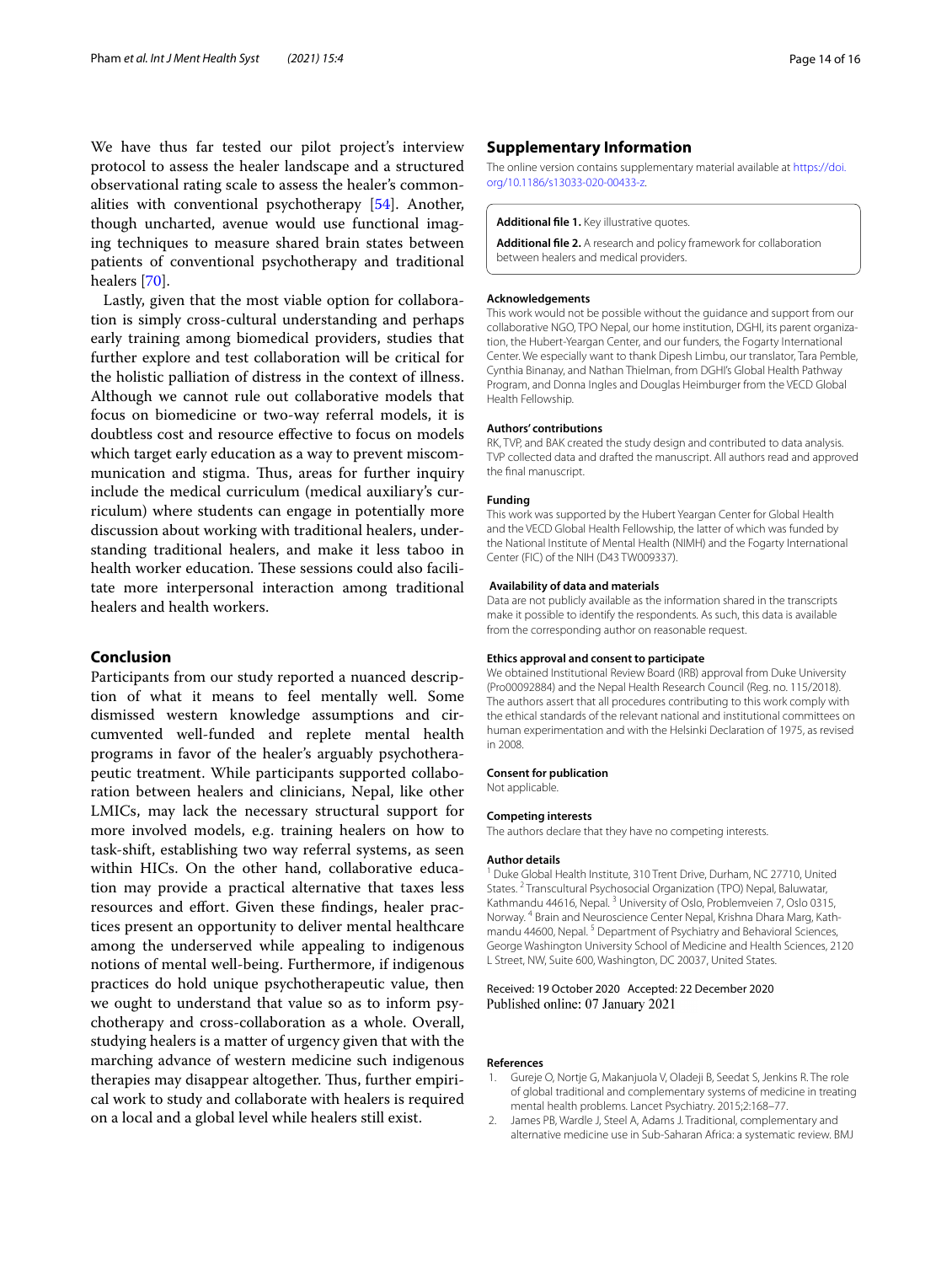We have thus far tested our pilot project's interview protocol to assess the healer landscape and a structured observational rating scale to assess the healer's commonalities with conventional psychotherapy [\[54](#page-15-6)]. Another, though uncharted, avenue would use functional imaging techniques to measure shared brain states between patients of conventional psychotherapy and traditional healers [\[70\]](#page-15-21).

Lastly, given that the most viable option for collaboration is simply cross-cultural understanding and perhaps early training among biomedical providers, studies that further explore and test collaboration will be critical for the holistic palliation of distress in the context of illness. Although we cannot rule out collaborative models that focus on biomedicine or two-way referral models, it is doubtless cost and resource efective to focus on models which target early education as a way to prevent miscommunication and stigma. Thus, areas for further inquiry include the medical curriculum (medical auxiliary's curriculum) where students can engage in potentially more discussion about working with traditional healers, understanding traditional healers, and make it less taboo in health worker education. These sessions could also facilitate more interpersonal interaction among traditional healers and health workers.

## **Conclusion**

Participants from our study reported a nuanced description of what it means to feel mentally well. Some dismissed western knowledge assumptions and circumvented well-funded and replete mental health programs in favor of the healer's arguably psychotherapeutic treatment. While participants supported collaboration between healers and clinicians, Nepal, like other LMICs, may lack the necessary structural support for more involved models, e.g. training healers on how to task-shift, establishing two way referral systems, as seen within HICs. On the other hand, collaborative education may provide a practical alternative that taxes less resources and efort. Given these fndings, healer practices present an opportunity to deliver mental healthcare among the underserved while appealing to indigenous notions of mental well-being. Furthermore, if indigenous practices do hold unique psychotherapeutic value, then we ought to understand that value so as to inform psychotherapy and cross-collaboration as a whole. Overall, studying healers is a matter of urgency given that with the marching advance of western medicine such indigenous therapies may disappear altogether. Thus, further empirical work to study and collaborate with healers is required on a local and a global level while healers still exist.

### **Supplementary Information**

The online version contains supplementary material available at [https://doi.](https://doi.org/10.1186/s13033-020-00433-z) [org/10.1186/s13033-020-00433-z.](https://doi.org/10.1186/s13033-020-00433-z)

#### <span id="page-13-3"></span><span id="page-13-2"></span>**Additional fle 1.** Key illustrative quotes.

**Additional fle 2.** A research and policy framework for collaboration between healers and medical providers.

#### **Acknowledgements**

This work would not be possible without the guidance and support from our collaborative NGO, TPO Nepal, our home institution, DGHI, its parent organization, the Hubert-Yeargan Center, and our funders, the Fogarty International Center. We especially want to thank Dipesh Limbu, our translator, Tara Pemble, Cynthia Binanay, and Nathan Thielman, from DGHI's Global Health Pathway Program, and Donna Ingles and Douglas Heimburger from the VECD Global Health Fellowship.

#### **Authors' contributions**

RK, TVP, and BAK created the study design and contributed to data analysis. TVP collected data and drafted the manuscript. All authors read and approved the fnal manuscript.

#### **Funding**

This work was supported by the Hubert Yeargan Center for Global Health and the VECD Global Health Fellowship, the latter of which was funded by the National Institute of Mental Health (NIMH) and the Fogarty International Center (FIC) of the NIH (D43 TW009337).

#### **Availability of data and materials**

Data are not publicly available as the information shared in the transcripts make it possible to identify the respondents. As such, this data is available from the corresponding author on reasonable request.

## **Ethics approval and consent to participate**

We obtained Institutional Review Board (IRB) approval from Duke University (Pro00092884) and the Nepal Health Research Council (Reg. no. 115/2018). The authors assert that all procedures contributing to this work comply with the ethical standards of the relevant national and institutional committees on human experimentation and with the Helsinki Declaration of 1975, as revised in 2008.

#### **Consent for publication**

Not applicable.

#### **Competing interests**

The authors declare that they have no competing interests.

#### **Author details**

<sup>1</sup> Duke Global Health Institute, 310 Trent Drive, Durham, NC 27710, United States. <sup>2</sup> Transcultural Psychosocial Organization (TPO) Nepal, Baluwatar, Kathmandu 44616, Nepal.<sup>3</sup> University of Oslo, Problemveien 7, Oslo 0315, Norway. 4 Brain and Neuroscience Center Nepal, Krishna Dhara Marg, Kathmandu 44600, Nepal.<sup>5</sup> Department of Psychiatry and Behavioral Sciences, George Washington University School of Medicine and Health Sciences, 2120 L Street, NW, Suite 600, Washington, DC 20037, United States.

#### Received: 19 October 2020 Accepted: 22 December 2020 Published online: 07 January 2021

#### **References**

- <span id="page-13-0"></span>1. Gureje O, Nortje G, Makanjuola V, Oladeji B, Seedat S, Jenkins R. The role of global traditional and complementary systems of medicine in treating mental health problems. Lancet Psychiatry. 2015;2:168–77.
- <span id="page-13-1"></span>2. James PB, Wardle J, Steel A, Adams J. Traditional, complementary and alternative medicine use in Sub-Saharan Africa: a systematic review. BMJ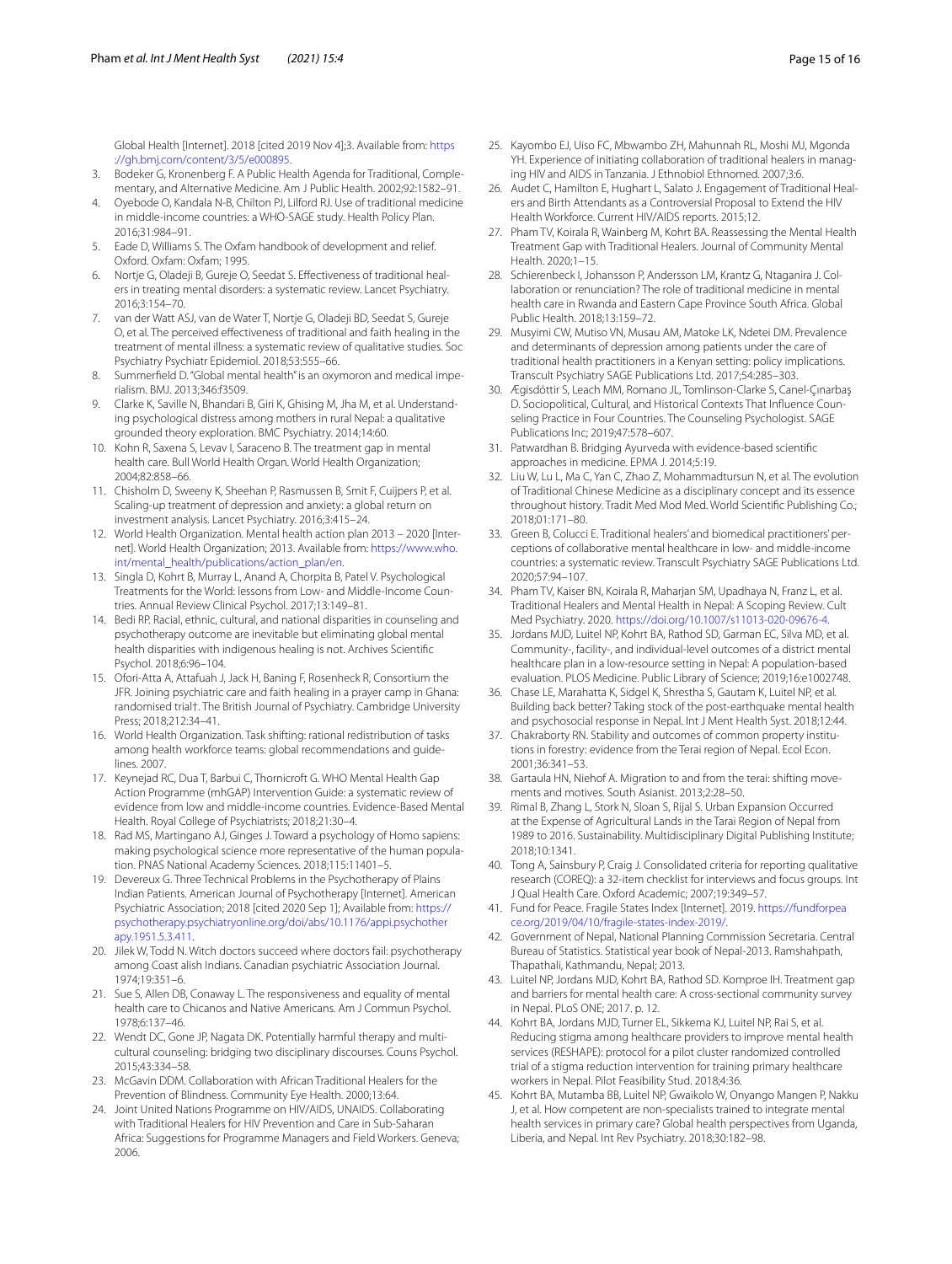Global Health [Internet]. 2018 [cited 2019 Nov 4];3. Available from: [https](https://gh.bmj.com/content/3/5/e000895) [://gh.bmj.com/content/3/5/e000895](https://gh.bmj.com/content/3/5/e000895).

- <span id="page-14-0"></span>3. Bodeker G, Kronenberg F. A Public Health Agenda for Traditional, Complementary, and Alternative Medicine. Am J Public Health. 2002;92:1582–91.
- <span id="page-14-1"></span>4. Oyebode O, Kandala N-B, Chilton PJ, Lilford RJ. Use of traditional medicine in middle-income countries: a WHO-SAGE study. Health Policy Plan. 2016;31:984–91.
- <span id="page-14-2"></span>5. Eade D, Williams S. The Oxfam handbook of development and relief. Oxford. Oxfam: Oxfam; 1995.
- <span id="page-14-3"></span>6. Nortje G, Oladeji B, Gureje O, Seedat S. Efectiveness of traditional healers in treating mental disorders: a systematic review. Lancet Psychiatry. 2016;3:154–70.
- <span id="page-14-4"></span>7. van der Watt ASJ, van de Water T, Nortje G, Oladeji BD, Seedat S, Gureje O, et al. The perceived efectiveness of traditional and faith healing in the treatment of mental illness: a systematic review of qualitative studies. Soc Psychiatry Psychiatr Epidemiol. 2018;53:555–66.
- <span id="page-14-5"></span>8. Summerfeld D. "Global mental health" is an oxymoron and medical imperialism. BMJ. 2013;346:f3509.
- <span id="page-14-6"></span>9. Clarke K, Saville N, Bhandari B, Giri K, Ghising M, Jha M, et al. Understanding psychological distress among mothers in rural Nepal: a qualitative grounded theory exploration. BMC Psychiatry. 2014;14:60.
- <span id="page-14-7"></span>10. Kohn R, Saxena S, Levav I, Saraceno B. The treatment gap in mental health care. Bull World Health Organ. World Health Organization; 2004;82:858–66.
- <span id="page-14-8"></span>11. Chisholm D, Sweeny K, Sheehan P, Rasmussen B, Smit F, Cuijpers P, et al. Scaling-up treatment of depression and anxiety: a global return on investment analysis. Lancet Psychiatry. 2016;3:415–24.
- <span id="page-14-9"></span>12. World Health Organization. Mental health action plan 2013 – 2020 [Internet]. World Health Organization; 2013. Available from: [https://www.who.](https://www.who.int/mental_health/publications/action_plan/en) [int/mental\\_health/publications/action\\_plan/en](https://www.who.int/mental_health/publications/action_plan/en).
- <span id="page-14-10"></span>13. Singla D, Kohrt B, Murray L, Anand A, Chorpita B, Patel V. Psychological Treatments for the World: lessons from Low- and Middle-Income Countries. Annual Review Clinical Psychol. 2017;13:149–81.
- <span id="page-14-17"></span>14. Bedi RP. Racial, ethnic, cultural, and national disparities in counseling and psychotherapy outcome are inevitable but eliminating global mental health disparities with indigenous healing is not. Archives Scientifc Psychol. 2018;6:96–104.
- <span id="page-14-11"></span>15. Ofori-Atta A, Attafuah J, Jack H, Baning F, Rosenheck R, Consortium the JFR. Joining psychiatric care and faith healing in a prayer camp in Ghana: randomised trial†. The British Journal of Psychiatry. Cambridge University Press; 2018;212:34–41.
- <span id="page-14-12"></span>16. World Health Organization. Task shifting: rational redistribution of tasks among health workforce teams: global recommendations and guidelines. 2007.
- <span id="page-14-13"></span>17. Keynejad RC, Dua T, Barbui C, Thornicroft G. WHO Mental Health Gap Action Programme (mhGAP) Intervention Guide: a systematic review of evidence from low and middle-income countries. Evidence-Based Mental Health. Royal College of Psychiatrists; 2018;21:30–4.
- <span id="page-14-14"></span>18. Rad MS, Martingano AJ, Ginges J. Toward a psychology of Homo sapiens: making psychological science more representative of the human population. PNAS National Academy Sciences. 2018;115:11401–5.
- <span id="page-14-15"></span>19. Devereux G. Three Technical Problems in the Psychotherapy of Plains Indian Patients. American Journal of Psychotherapy [Internet]. American Psychiatric Association; 2018 [cited 2020 Sep 1]; Available from: [https://](https://psychotherapy.psychiatryonline.org/doi/abs/10.1176/appi.psychotherapy.1951.5.3.411) [psychotherapy.psychiatryonline.org/doi/abs/10.1176/appi.psychother](https://psychotherapy.psychiatryonline.org/doi/abs/10.1176/appi.psychotherapy.1951.5.3.411) [apy.1951.5.3.411](https://psychotherapy.psychiatryonline.org/doi/abs/10.1176/appi.psychotherapy.1951.5.3.411).
- 20. Jilek W, Todd N. Witch doctors succeed where doctors fail: psychotherapy among Coast alish Indians. Canadian psychiatric Association Journal. 1974;19:351–6.
- <span id="page-14-16"></span>21. Sue S, Allen DB, Conaway L. The responsiveness and equality of mental health care to Chicanos and Native Americans. Am J Commun Psychol. 1978;6:137–46.
- <span id="page-14-18"></span>22. Wendt DC, Gone JP, Nagata DK. Potentially harmful therapy and multicultural counseling: bridging two disciplinary discourses. Couns Psychol. 2015;43:334–58.
- <span id="page-14-19"></span>23. McGavin DDM. Collaboration with African Traditional Healers for the Prevention of Blindness. Community Eye Health. 2000;13:64.
- 24. Joint United Nations Programme on HIV/AIDS, UNAIDS. Collaborating with Traditional Healers for HIV Prevention and Care in Sub-Saharan Africa: Suggestions for Programme Managers and Field Workers. Geneva; 2006.
- 25. Kayombo EJ, Uiso FC, Mbwambo ZH, Mahunnah RL, Moshi MJ, Mgonda YH. Experience of initiating collaboration of traditional healers in managing HIV and AIDS in Tanzania. J Ethnobiol Ethnomed. 2007;3:6.
- <span id="page-14-20"></span>26. Audet C, Hamilton E, Hughart L, Salato J. Engagement of Traditional Healers and Birth Attendants as a Controversial Proposal to Extend the HIV Health Workforce. Current HIV/AIDS reports. 2015;12.
- <span id="page-14-21"></span>27. Pham TV, Koirala R, Wainberg M, Kohrt BA. Reassessing the Mental Health Treatment Gap with Traditional Healers. Journal of Community Mental Health. 2020;1–15.
- <span id="page-14-22"></span>28. Schierenbeck I, Johansson P, Andersson LM, Krantz G, Ntaganira J. Collaboration or renunciation? The role of traditional medicine in mental health care in Rwanda and Eastern Cape Province South Africa. Global Public Health. 2018;13:159–72.
- <span id="page-14-23"></span>29. Musyimi CW, Mutiso VN, Musau AM, Matoke LK, Ndetei DM. Prevalence and determinants of depression among patients under the care of traditional health practitioners in a Kenyan setting: policy implications. Transcult Psychiatry SAGE Publications Ltd. 2017;54:285–303.
- <span id="page-14-24"></span>30. Ægisdóttir S, Leach MM, Romano JL, Tomlinson-Clarke S, Canel-Çınarbaş D. Sociopolitical, Cultural, and Historical Contexts That Infuence Counseling Practice in Four Countries. The Counseling Psychologist. SAGE Publications Inc; 2019;47:578–607.
- <span id="page-14-25"></span>31. Patwardhan B. Bridging Ayurveda with evidence-based scientifc approaches in medicine. EPMA J. 2014;5:19.
- <span id="page-14-26"></span>32. Liu W, Lu L, Ma C, Yan C, Zhao Z, Mohammadtursun N, et al. The evolution of Traditional Chinese Medicine as a disciplinary concept and its essence throughout history. Tradit Med Mod Med. World Scientifc Publishing Co.; 2018;01:171–80.
- <span id="page-14-27"></span>33. Green B, Colucci E. Traditional healers' and biomedical practitioners' perceptions of collaborative mental healthcare in low- and middle-income countries: a systematic review. Transcult Psychiatry SAGE Publications Ltd. 2020;57:94–107.
- <span id="page-14-28"></span>34. Pham TV, Kaiser BN, Koirala R, Maharjan SM, Upadhaya N, Franz L, et al. Traditional Healers and Mental Health in Nepal: A Scoping Review. Cult Med Psychiatry. 2020. [https://doi.org/10.1007/s11013-020-09676-4.](https://doi.org/10.1007/s11013-020-09676-4)
- <span id="page-14-29"></span>35. Jordans MJD, Luitel NP, Kohrt BA, Rathod SD, Garman EC, Silva MD, et al. Community-, facility-, and individual-level outcomes of a district mental healthcare plan in a low-resource setting in Nepal: A population-based evaluation. PLOS Medicine. Public Library of Science; 2019;16:e1002748.
- <span id="page-14-30"></span>36. Chase LE, Marahatta K, Sidgel K, Shrestha S, Gautam K, Luitel NP, et al. Building back better? Taking stock of the post-earthquake mental health and psychosocial response in Nepal. Int J Ment Health Syst. 2018;12:44.
- <span id="page-14-31"></span>37. Chakraborty RN. Stability and outcomes of common property institutions in forestry: evidence from the Terai region of Nepal. Ecol Econ. 2001;36:341–53.
- 38. Gartaula HN, Niehof A. Migration to and from the terai: shifting movements and motives. South Asianist. 2013;2:28–50.
- <span id="page-14-32"></span>39. Rimal B, Zhang L, Stork N, Sloan S, Rijal S. Urban Expansion Occurred at the Expense of Agricultural Lands in the Tarai Region of Nepal from 1989 to 2016. Sustainability. Multidisciplinary Digital Publishing Institute; 2018;10:1341.
- <span id="page-14-33"></span>40. Tong A, Sainsbury P, Craig J. Consolidated criteria for reporting qualitative research (COREQ): a 32-item checklist for interviews and focus groups. Int J Qual Health Care. Oxford Academic; 2007;19:349–57.
- <span id="page-14-34"></span>41. Fund for Peace. Fragile States Index [Internet]. 2019. [https://fundforpea](https://fundforpeace.org/2019/04/10/fragile-states-index-2019/) [ce.org/2019/04/10/fragile-states-index-2019/](https://fundforpeace.org/2019/04/10/fragile-states-index-2019/).
- <span id="page-14-35"></span>42. Government of Nepal, National Planning Commission Secretaria. Central Bureau of Statistics. Statistical year book of Nepal-2013. Ramshahpath, Thapathali, Kathmandu, Nepal; 2013.
- <span id="page-14-36"></span>43. Luitel NP, Jordans MJD, Kohrt BA, Rathod SD. Komproe IH. Treatment gap and barriers for mental health care: A cross-sectional community survey in Nepal. PLoS ONE; 2017. p. 12.
- <span id="page-14-37"></span>44. Kohrt BA, Jordans MJD, Turner EL, Sikkema KJ, Luitel NP, Rai S, et al. Reducing stigma among healthcare providers to improve mental health services (RESHAPE): protocol for a pilot cluster randomized controlled trial of a stigma reduction intervention for training primary healthcare workers in Nepal. Pilot Feasibility Stud. 2018;4:36.
- <span id="page-14-38"></span>45. Kohrt BA, Mutamba BB, Luitel NP, Gwaikolo W, Onyango Mangen P, Nakku J, et al. How competent are non-specialists trained to integrate mental health services in primary care? Global health perspectives from Uganda, Liberia, and Nepal. Int Rev Psychiatry. 2018;30:182–98.